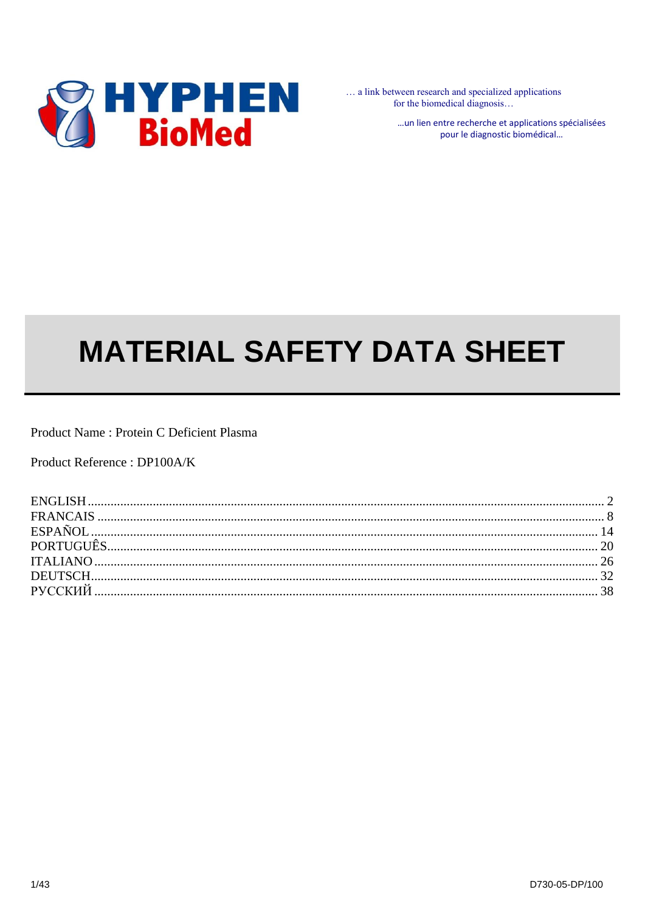

... a link between research and specialized applications for the biomedical diagnosis...

> ... un lien entre recherche et applications spécialisées pour le diagnostic biomédical...

# **MATERIAL SAFETY DATA SHEET**

Product Name: Protein C Deficient Plasma

Product Reference: DP100A/K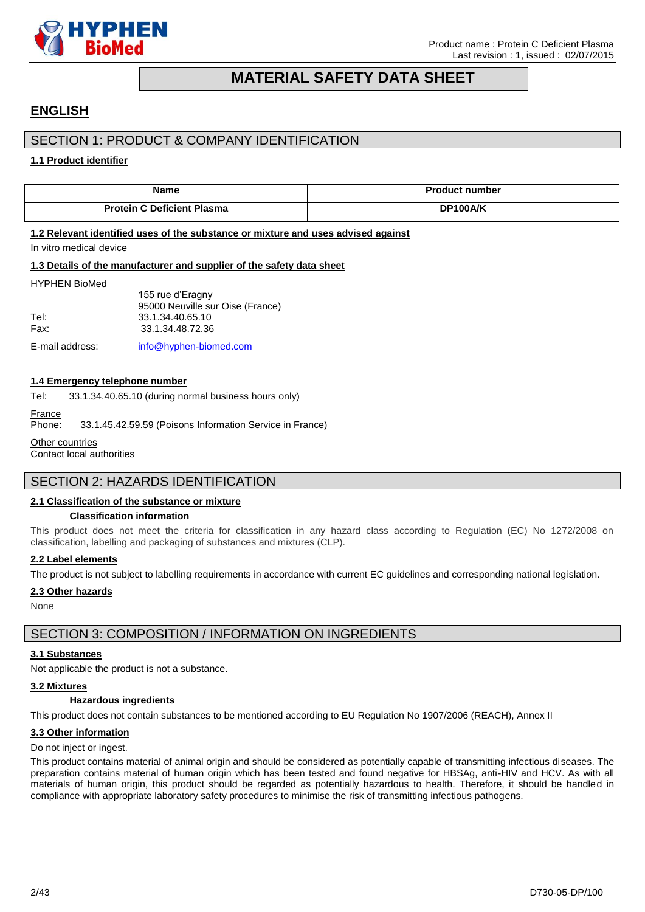

# **MATERIAL SAFETY DATA SHEET**

# <span id="page-1-0"></span>**ENGLISH**

# SECTION 1: PRODUCT & COMPANY IDENTIFICATION

### **1.1 Product identifier**

| <b>Name</b>                                                                       | <b>Product number</b> |
|-----------------------------------------------------------------------------------|-----------------------|
| <b>Protein C Deficient Plasma</b>                                                 | DP100A/K              |
| 1.2 Relevant identified uses of the substance or mixture and uses advised against |                       |
| In vitro medical device                                                           |                       |
| 1.3 Details of the manufacturer and supplier of the safety data sheet             |                       |
| <b>HYPHEN BioMed</b>                                                              |                       |
| 155 rue d'Eragny                                                                  |                       |

95000 Neuville sur Oise (France) Tel: 33.1.34.40.65.10 Fax: 33.1.34.48.72.36

E-mail address: [info@hyphen-biomed.com](mailto:info@hyphen-biomed.com)

#### **1.4 Emergency telephone number**

Tel: 33.1.34.40.65.10 (during normal business hours only)

France

Phone: 33.1.45.42.59.59 (Poisons Information Service in France)

Other countries

Contact local authorities

# SECTION 2: HAZARDS IDENTIFICATION

#### **2.1 Classification of the substance or mixture**

#### **Classification information**

This product does not meet the criteria for classification in any hazard class according to Regulation (EC) No 1272/2008 on classification, labelling and packaging of substances and mixtures (CLP).

### **2.2 Label elements**

The product is not subject to labelling requirements in accordance with current EC guidelines and corresponding national legislation.

### **2.3 Other hazards**

**None** 

# SECTION 3: COMPOSITION / INFORMATION ON INGREDIENTS

#### **3.1 Substances**

Not applicable the product is not a substance.

#### **3.2 Mixtures**

#### **Hazardous ingredients**

This product does not contain substances to be mentioned according to EU Regulation No 1907/2006 (REACH), Annex II

#### **3.3 Other information**

#### Do not inject or ingest.

This product contains material of animal origin and should be considered as potentially capable of transmitting infectious diseases. The preparation contains material of human origin which has been tested and found negative for HBSAg, anti-HIV and HCV. As with all materials of human origin, this product should be regarded as potentially hazardous to health. Therefore, it should be handled in compliance with appropriate laboratory safety procedures to minimise the risk of transmitting infectious pathogens.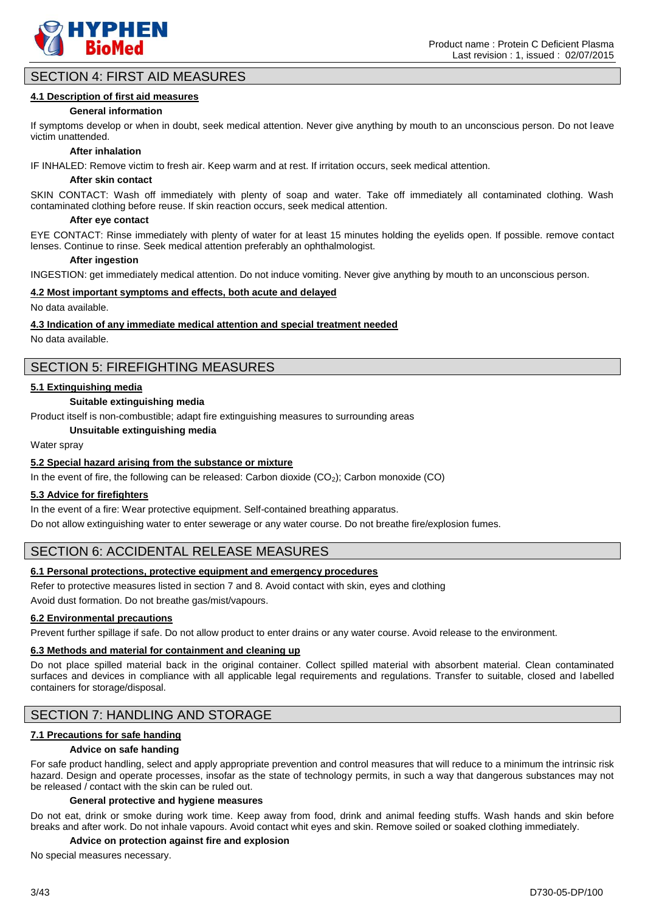

# SECTION 4: FIRST AID MEASURES

### **4.1 Description of first aid measures**

#### **General information**

If symptoms develop or when in doubt, seek medical attention. Never give anything by mouth to an unconscious person. Do not leave victim unattended.

#### **After inhalation**

IF INHALED: Remove victim to fresh air. Keep warm and at rest. If irritation occurs, seek medical attention.

#### **After skin contact**

SKIN CONTACT: Wash off immediately with plenty of soap and water. Take off immediately all contaminated clothing. Wash contaminated clothing before reuse. If skin reaction occurs, seek medical attention.

#### **After eye contact**

EYE CONTACT: Rinse immediately with plenty of water for at least 15 minutes holding the eyelids open. If possible. remove contact lenses. Continue to rinse. Seek medical attention preferably an ophthalmologist.

#### **After ingestion**

INGESTION: get immediately medical attention. Do not induce vomiting. Never give anything by mouth to an unconscious person.

#### **4.2 Most important symptoms and effects, both acute and delayed**

No data available.

#### **4.3 Indication of any immediate medical attention and special treatment needed**

No data available.

# SECTION 5: FIREFIGHTING MEASURES

### **5.1 Extinguishing media**

#### **Suitable extinguishing media**

Product itself is non-combustible; adapt fire extinguishing measures to surrounding areas

**Unsuitable extinguishing media**

Water spray

### **5.2 Special hazard arising from the substance or mixture**

In the event of fire, the following can be released: Carbon dioxide  $(CO<sub>2</sub>)$ ; Carbon monoxide  $(CO)$ 

#### **5.3 Advice for firefighters**

In the event of a fire: Wear protective equipment. Self-contained breathing apparatus.

Do not allow extinguishing water to enter sewerage or any water course. Do not breathe fire/explosion fumes.

# SECTION 6: ACCIDENTAL RELEASE MEASURES

### **6.1 Personal protections, protective equipment and emergency procedures**

Refer to protective measures listed in section 7 and 8. Avoid contact with skin, eyes and clothing

Avoid dust formation. Do not breathe gas/mist/vapours.

# **6.2 Environmental precautions**

Prevent further spillage if safe. Do not allow product to enter drains or any water course. Avoid release to the environment.

# **6.3 Methods and material for containment and cleaning up**

Do not place spilled material back in the original container. Collect spilled material with absorbent material. Clean contaminated surfaces and devices in compliance with all applicable legal requirements and regulations. Transfer to suitable, closed and labelled containers for storage/disposal.

# SECTION 7: HANDLING AND STORAGE

### **7.1 Precautions for safe handing**

#### **Advice on safe handing**

For safe product handling, select and apply appropriate prevention and control measures that will reduce to a minimum the intrinsic risk hazard. Design and operate processes, insofar as the state of technology permits, in such a way that dangerous substances may not be released / contact with the skin can be ruled out.

### **General protective and hygiene measures**

Do not eat, drink or smoke during work time. Keep away from food, drink and animal feeding stuffs. Wash hands and skin before breaks and after work. Do not inhale vapours. Avoid contact whit eyes and skin. Remove soiled or soaked clothing immediately.

#### **Advice on protection against fire and explosion**

No special measures necessary.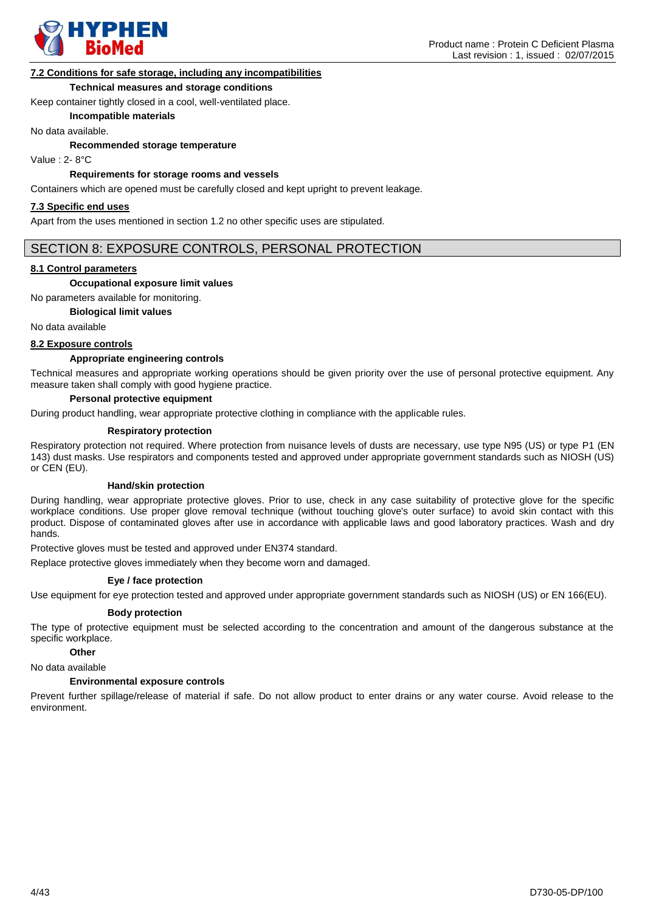

### **7.2 Conditions for safe storage, including any incompatibilities**

#### **Technical measures and storage conditions**

Keep container tightly closed in a cool, well-ventilated place.

**Incompatible materials**

No data available.

**Recommended storage temperature**

Value : 2- 8°C

#### **Requirements for storage rooms and vessels**

Containers which are opened must be carefully closed and kept upright to prevent leakage.

#### **7.3 Specific end uses**

Apart from the uses mentioned in section 1.2 no other specific uses are stipulated.

# SECTION 8: EXPOSURE CONTROLS, PERSONAL PROTECTION

#### **8.1 Control parameters**

#### **Occupational exposure limit values**

No parameters available for monitoring.

#### **Biological limit values**

No data available

### **8.2 Exposure controls**

#### **Appropriate engineering controls**

Technical measures and appropriate working operations should be given priority over the use of personal protective equipment. Any measure taken shall comply with good hygiene practice.

### **Personal protective equipment**

During product handling, wear appropriate protective clothing in compliance with the applicable rules.

#### **Respiratory protection**

Respiratory protection not required. Where protection from nuisance levels of dusts are necessary, use type N95 (US) or type P1 (EN 143) dust masks. Use respirators and components tested and approved under appropriate government standards such as NIOSH (US) or CEN (EU).

#### **Hand/skin protection**

During handling, wear appropriate protective gloves. Prior to use, check in any case suitability of protective glove for the specific workplace conditions. Use proper glove removal technique (without touching glove's outer surface) to avoid skin contact with this product. Dispose of contaminated gloves after use in accordance with applicable laws and good laboratory practices. Wash and dry hands.

Protective gloves must be tested and approved under EN374 standard.

Replace protective gloves immediately when they become worn and damaged.

#### **Eye / face protection**

Use equipment for eye protection tested and approved under appropriate government standards such as NIOSH (US) or EN 166(EU).

#### **Body protection**

The type of protective equipment must be selected according to the concentration and amount of the dangerous substance at the specific workplace.

#### **Other**

No data available

#### **Environmental exposure controls**

Prevent further spillage/release of material if safe. Do not allow product to enter drains or any water course. Avoid release to the environment.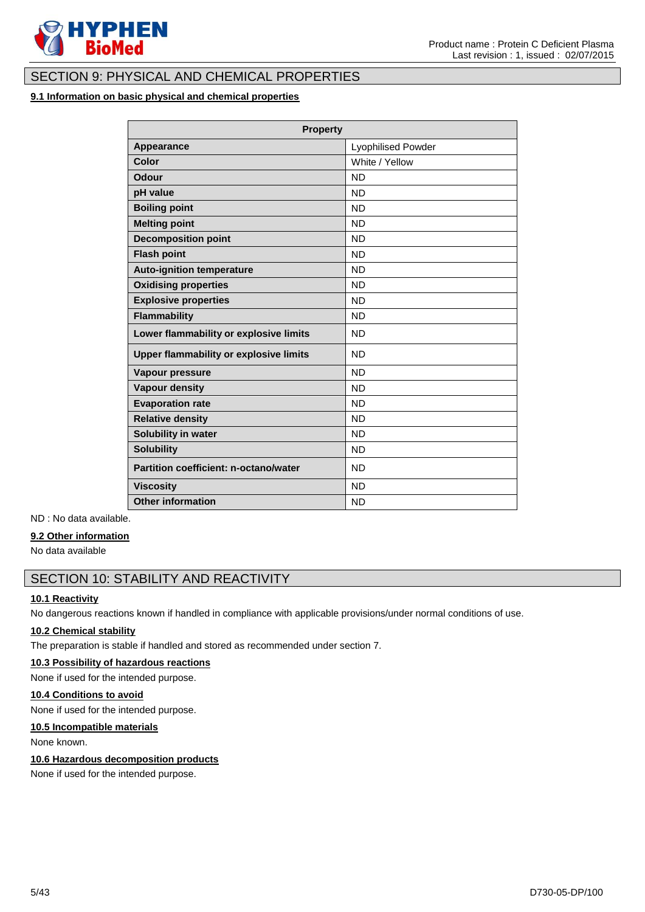

# SECTION 9: PHYSICAL AND CHEMICAL PROPERTIES

# **9.1 Information on basic physical and chemical properties**

| <b>Property</b>                              |                           |
|----------------------------------------------|---------------------------|
| Appearance                                   | <b>Lyophilised Powder</b> |
| Color                                        | White / Yellow            |
| Odour                                        | <b>ND</b>                 |
| pH value                                     | <b>ND</b>                 |
| <b>Boiling point</b>                         | <b>ND</b>                 |
| <b>Melting point</b>                         | <b>ND</b>                 |
| <b>Decomposition point</b>                   | <b>ND</b>                 |
| <b>Flash point</b>                           | <b>ND</b>                 |
| <b>Auto-ignition temperature</b>             | <b>ND</b>                 |
| <b>Oxidising properties</b>                  | <b>ND</b>                 |
| <b>Explosive properties</b>                  | <b>ND</b>                 |
| <b>Flammability</b>                          | <b>ND</b>                 |
| Lower flammability or explosive limits       | <b>ND</b>                 |
| Upper flammability or explosive limits       | <b>ND</b>                 |
| Vapour pressure                              | <b>ND</b>                 |
| <b>Vapour density</b>                        | <b>ND</b>                 |
| <b>Evaporation rate</b>                      | <b>ND</b>                 |
| <b>Relative density</b>                      | <b>ND</b>                 |
| Solubility in water                          | <b>ND</b>                 |
| <b>Solubility</b>                            | <b>ND</b>                 |
| <b>Partition coefficient: n-octano/water</b> | <b>ND</b>                 |
| <b>Viscosity</b>                             | <b>ND</b>                 |
| <b>Other information</b>                     | <b>ND</b>                 |

ND : No data available.

#### **9.2 Other information**

No data available

# SECTION 10: STABILITY AND REACTIVITY

# **10.1 Reactivity**

No dangerous reactions known if handled in compliance with applicable provisions/under normal conditions of use.

### **10.2 Chemical stability**

The preparation is stable if handled and stored as recommended under section 7.

# **10.3 Possibility of hazardous reactions**

None if used for the intended purpose.

# **10.4 Conditions to avoid**

None if used for the intended purpose.

### **10.5 Incompatible materials**

None known.

#### **10.6 Hazardous decomposition products**

None if used for the intended purpose.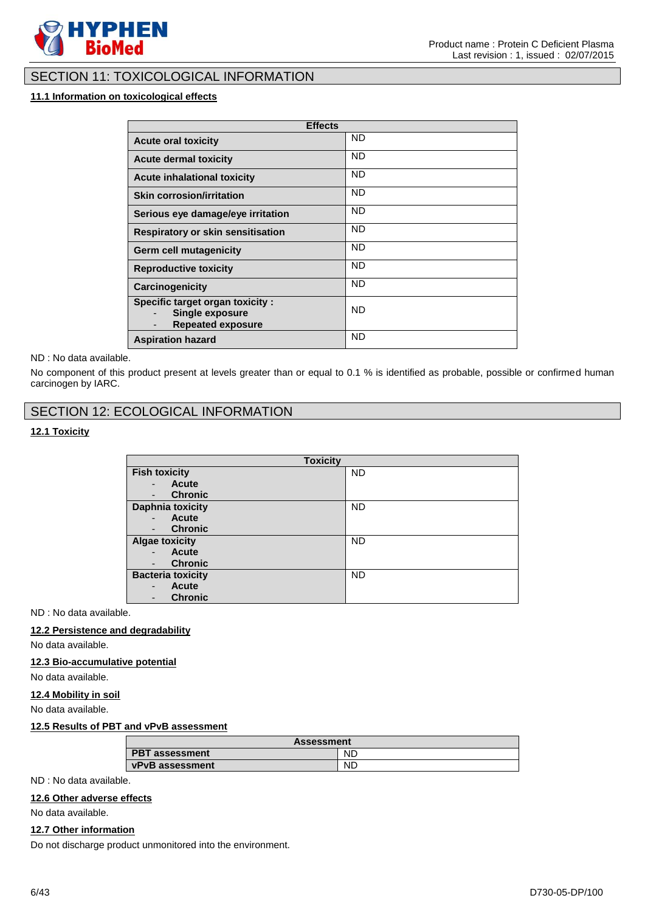

# SECTION 11: TOXICOLOGICAL INFORMATION

# **11.1 Information on toxicological effects**

| <b>Effects</b>                                                                                                    |           |
|-------------------------------------------------------------------------------------------------------------------|-----------|
| <b>Acute oral toxicity</b>                                                                                        | <b>ND</b> |
| <b>Acute dermal toxicity</b>                                                                                      | <b>ND</b> |
| <b>Acute inhalational toxicity</b>                                                                                | <b>ND</b> |
| <b>Skin corrosion/irritation</b>                                                                                  | <b>ND</b> |
| Serious eye damage/eye irritation                                                                                 | <b>ND</b> |
| Respiratory or skin sensitisation                                                                                 | <b>ND</b> |
| Germ cell mutagenicity                                                                                            | <b>ND</b> |
| <b>Reproductive toxicity</b>                                                                                      | <b>ND</b> |
| Carcinogenicity                                                                                                   | <b>ND</b> |
| Specific target organ toxicity:<br><b>Single exposure</b><br><b>Repeated exposure</b><br>$\overline{\phantom{a}}$ | <b>ND</b> |
| <b>Aspiration hazard</b>                                                                                          | <b>ND</b> |

#### ND : No data available.

No component of this product present at levels greater than or equal to 0.1 % is identified as probable, possible or confirmed human carcinogen by IARC.

# SECTION 12: ECOLOGICAL INFORMATION

# **12.1 Toxicity**

| <b>Toxicity</b>                            |           |
|--------------------------------------------|-----------|
| <b>Fish toxicity</b>                       | <b>ND</b> |
| <b>Acute</b><br>-                          |           |
| <b>Chronic</b><br>٠                        |           |
| <b>Daphnia toxicity</b>                    | <b>ND</b> |
| <b>Acute</b><br>$\overline{\phantom{a}}$   |           |
| <b>Chronic</b><br>$\overline{\phantom{a}}$ |           |
| <b>Algae toxicity</b>                      | <b>ND</b> |
| <b>Acute</b>                               |           |
| <b>Chronic</b><br>$\overline{\phantom{a}}$ |           |
| <b>Bacteria toxicity</b>                   | <b>ND</b> |
| Acute<br>-                                 |           |
| <b>Chronic</b><br>-                        |           |

ND : No data available.

# **12.2 Persistence and degradability**

No data available.

#### **12.3 Bio-accumulative potential**

No data available.

#### **12.4 Mobility in soil**

No data available.

### **12.5 Results of PBT and vPvB assessment**

| <b>Assessment</b>      |           |
|------------------------|-----------|
| <b>PBT</b> assessment  | <b>ND</b> |
| <b>vPvB</b> assessment | <b>ND</b> |

ND : No data available.

#### **12.6 Other adverse effects**

No data available.

# **12.7 Other information**

Do not discharge product unmonitored into the environment.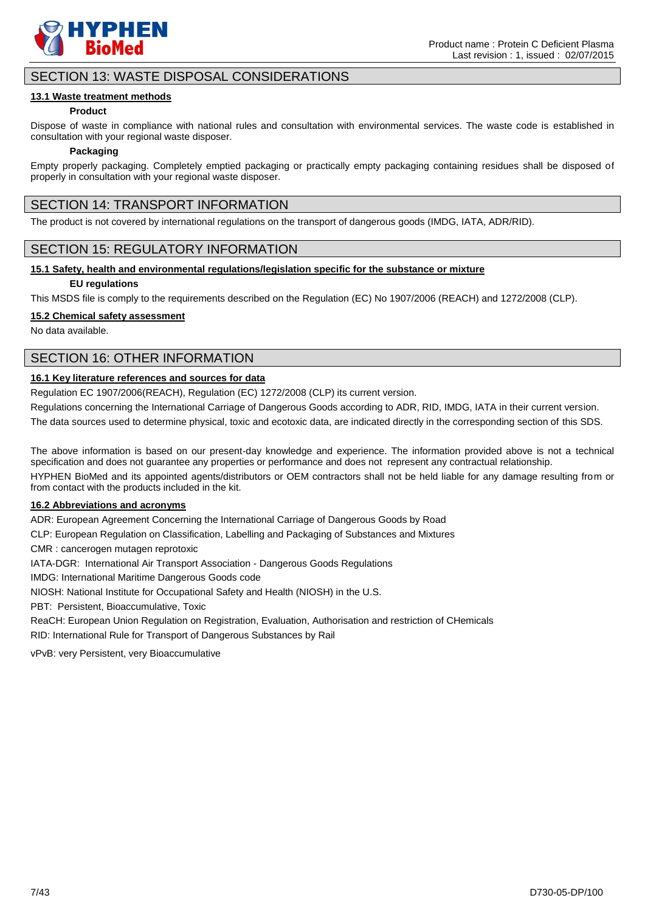

# SECTION 13: WASTE DISPOSAL CONSIDERATIONS

### **13.1 Waste treatment methods**

### **Product**

Dispose of waste in compliance with national rules and consultation with environmental services. The waste code is established in consultation with your regional waste disposer.

#### **Packaging**

Empty properly packaging. Completely emptied packaging or practically empty packaging containing residues shall be disposed of properly in consultation with your regional waste disposer.

# SECTION 14: TRANSPORT INFORMATION

The product is not covered by international regulations on the transport of dangerous goods (IMDG, IATA, ADR/RID).

# SECTION 15: REGULATORY INFORMATION

### **15.1 Safety, health and environmental regulations/legislation specific for the substance or mixture**

#### **EU regulations**

This MSDS file is comply to the requirements described on the Regulation (EC) No 1907/2006 (REACH) and 1272/2008 (CLP).

### **15.2 Chemical safety assessment**

No data available.

# SECTION 16: OTHER INFORMATION

### **16.1 Key literature references and sources for data**

Regulation EC 1907/2006(REACH), Regulation (EC) 1272/2008 (CLP) its current version.

Regulations concerning the International Carriage of Dangerous Goods according to ADR, RID, IMDG, IATA in their current version.

The data sources used to determine physical, toxic and ecotoxic data, are indicated directly in the corresponding section of this SDS.

The above information is based on our present-day knowledge and experience. The information provided above is not a technical specification and does not guarantee any properties or performance and does not represent any contractual relationship.

HYPHEN BioMed and its appointed agents/distributors or OEM contractors shall not be held liable for any damage resulting from or from contact with the products included in the kit.

# **16.2 Abbreviations and acronyms**

ADR: European Agreement Concerning the International Carriage of Dangerous Goods by Road

CLP: European Regulation on Classification, Labelling and Packaging of Substances and Mixtures

CMR : cancerogen mutagen reprotoxic

IATA-DGR: International Air Transport Association - Dangerous Goods Regulations

IMDG: International Maritime Dangerous Goods code

NIOSH: National Institute for Occupational Safety and Health (NIOSH) in the U.S.

PBT: Persistent, Bioaccumulative, Toxic

ReaCH: European Union Regulation on Registration, Evaluation, Authorisation and restriction of CHemicals RID: International Rule for Transport of Dangerous Substances by Rail

vPvB: very Persistent, very Bioaccumulative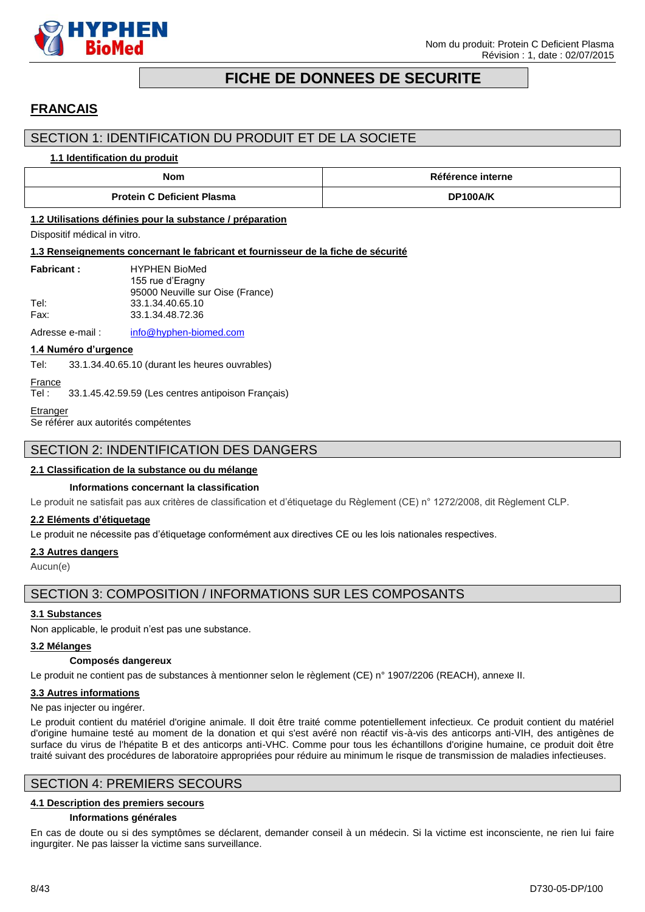

# **FICHE DE DONNEES DE SECURITE**

# <span id="page-7-0"></span>**FRANCAIS**

# SECTION 1: IDENTIFICATION DU PRODUIT ET DE LA SOCIETE

#### **1.1 Identification du produit**

| Nom                               | <b>Référence interne</b> |
|-----------------------------------|--------------------------|
| <b>Protein C Deficient Plasma</b> | DP100A/K                 |

### **1.2 Utilisations définies pour la substance / préparation**

Dispositif médical in vitro.

#### **1.3 Renseignements concernant le fabricant et fournisseur de la fiche de sécurité**

| <b>Fabricant:</b> | <b>HYPHEN BioMed</b>             |
|-------------------|----------------------------------|
|                   | 155 rue d'Eragny                 |
|                   | 95000 Neuville sur Oise (France) |
| Tel:              | 33.1.34.40.65.10                 |
| Fax:              | 33.1.34.48.72.36                 |
|                   |                                  |

Adresse e-mail : [info@hyphen-biomed.com](mailto:info@hyphen-biomed.com)

### **1.4 Numéro d'urgence**

Tel: 33.1.34.40.65.10 (durant les heures ouvrables)

# **France**

Tel : 33.1.45.42.59.59 (Les centres antipoison Français)

# **Etranger**

Se référer aux autorités compétentes

# SECTION 2: INDENTIFICATION DES DANGERS

### **2.1 Classification de la substance ou du mélange**

### **Informations concernant la classification**

Le produit ne satisfait pas aux critères de classification et d'étiquetage du Règlement (CE) n° 1272/2008, dit Règlement CLP.

#### **2.2 Eléments d'étiquetage**

Le produit ne nécessite pas d'étiquetage conformément aux directives CE ou les lois nationales respectives.

### **2.3 Autres dangers**

Aucun(e)

# SECTION 3: COMPOSITION / INFORMATIONS SUR LES COMPOSANTS

# **3.1 Substances**

Non applicable, le produit n'est pas une substance.

#### **3.2 Mélanges**

#### **Composés dangereux**

Le produit ne contient pas de substances à mentionner selon le règlement (CE) n° 1907/2206 (REACH), annexe II.

### **3.3 Autres informations**

Ne pas injecter ou ingérer.

Le produit contient du matériel d'origine animale. Il doit être traité comme potentiellement infectieux. Ce produit contient du matériel d'origine humaine testé au moment de la donation et qui s'est avéré non réactif vis-à-vis des anticorps anti-VIH, des antigènes de surface du virus de l'hépatite B et des anticorps anti-VHC. Comme pour tous les échantillons d'origine humaine, ce produit doit être traité suivant des procédures de laboratoire appropriées pour réduire au minimum le risque de transmission de maladies infectieuses.

# SECTION 4: PREMIERS SECOURS

### **4.1 Description des premiers secours**

#### **Informations générales**

En cas de doute ou si des symptômes se déclarent, demander conseil à un médecin. Si la victime est inconsciente, ne rien lui faire ingurgiter. Ne pas laisser la victime sans surveillance.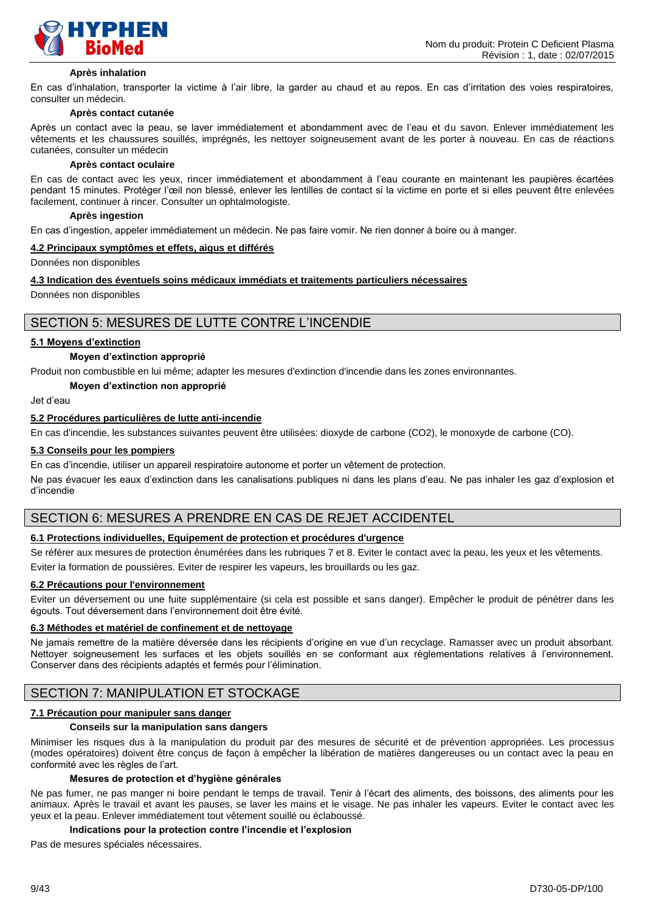

#### **Après inhalation**

En cas d'inhalation, transporter la victime à l'air libre, la garder au chaud et au repos. En cas d'irritation des voies respiratoires, consulter un médecin.

#### **Après contact cutanée**

Après un contact avec la peau, se laver immédiatement et abondamment avec de l'eau et du savon. Enlever immédiatement les vêtements et les chaussures souillés, imprégnés, les nettoyer soigneusement avant de les porter à nouveau. En cas de réactions cutanées, consulter un médecin

#### **Après contact oculaire**

En cas de contact avec les yeux, rincer immédiatement et abondamment à l'eau courante en maintenant les paupières écartées pendant 15 minutes. Protéger l'œil non blessé, enlever les lentilles de contact si la victime en porte et si elles peuvent être enlevées facilement, continuer à rincer. Consulter un ophtalmologiste.

#### **Après ingestion**

En cas d'ingestion, appeler immédiatement un médecin. Ne pas faire vomir. Ne rien donner à boire ou à manger.

#### **4.2 Principaux symptômes et effets, aigus et différés**

Données non disponibles

#### **4.3 Indication des éventuels soins médicaux immédiats et traitements particuliers nécessaires**

Données non disponibles

# SECTION 5: MESURES DE LUTTE CONTRE L'INCENDIE

#### **5.1 Moyens d'extinction**

#### **Moyen d'extinction approprié**

Produit non combustible en lui même; adapter les mesures d'extinction d'incendie dans les zones environnantes.

#### **Moyen d'extinction non approprié**

Jet d'eau

#### **5.2 Procédures particulières de lutte anti-incendie**

En cas d'incendie, les substances suivantes peuvent être utilisées: dioxyde de carbone (CO2), le monoxyde de carbone (CO).

#### **5.3 Conseils pour les pompiers**

En cas d'incendie, utiliser un appareil respiratoire autonome et porter un vêtement de protection.

Ne pas évacuer les eaux d'extinction dans les canalisations publiques ni dans les plans d'eau. Ne pas inhaler les gaz d'explosion et d'incendie

# SECTION 6: MESURES A PRENDRE EN CAS DE REJET ACCIDENTEL

# **6.1 Protections individuelles, Equipement de protection et procédures d'urgence**

Se référer aux mesures de protection énumérées dans les rubriques 7 et 8. Eviter le contact avec la peau, les yeux et les vêtements.

Eviter la formation de poussières. Eviter de respirer les vapeurs, les brouillards ou les gaz.

# **6.2 Précautions pour l'environnement**

Eviter un déversement ou une fuite supplémentaire (si cela est possible et sans danger). Empêcher le produit de pénétrer dans les égouts. Tout déversement dans l'environnement doit être évité.

#### **6.3 Méthodes et matériel de confinement et de nettoyage**

Ne jamais remettre de la matière déversée dans les récipients d'origine en vue d'un recyclage. Ramasser avec un produit absorbant. Nettoyer soigneusement les surfaces et les objets souillés en se conformant aux règlementations relatives à l'environnement. Conserver dans des récipients adaptés et fermés pour l'élimination.

# SECTION 7: MANIPULATION ET STOCKAGE

#### **7.1 Précaution pour manipuler sans danger**

#### **Conseils sur la manipulation sans dangers**

Minimiser les risques dus à la manipulation du produit par des mesures de sécurité et de prévention appropriées. Les processus (modes opératoires) doivent être conçus de façon à empêcher la libération de matières dangereuses ou un contact avec la peau en conformité avec les règles de l'art.

#### **Mesures de protection et d'hygiène générales**

Ne pas fumer, ne pas manger ni boire pendant le temps de travail. Tenir à l'écart des aliments, des boissons, des aliments pour les animaux. Après le travail et avant les pauses, se laver les mains et le visage. Ne pas inhaler les vapeurs. Eviter le contact avec les yeux et la peau. Enlever immédiatement tout vêtement souillé ou éclaboussé.

#### **Indications pour la protection contre l'incendie et l'explosion**

Pas de mesures spéciales nécessaires.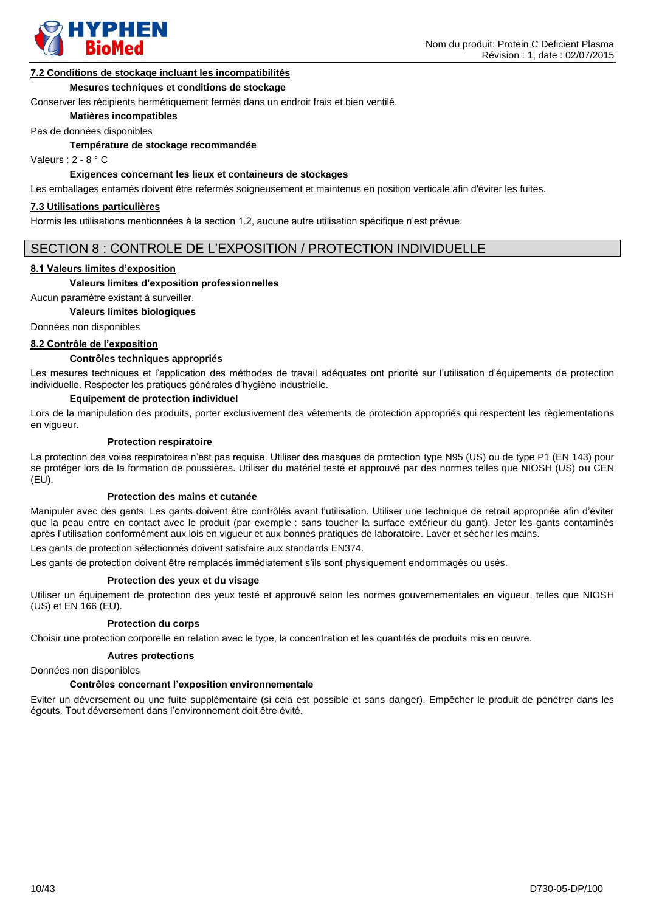

#### **7.2 Conditions de stockage incluant les incompatibilités**

#### **Mesures techniques et conditions de stockage**

Conserver les récipients hermétiquement fermés dans un endroit frais et bien ventilé.

**Matières incompatibles**

Pas de données disponibles

**Température de stockage recommandée**

Valeurs : 2 - 8 ° C

#### **Exigences concernant les lieux et containeurs de stockages**

Les emballages entamés doivent être refermés soigneusement et maintenus en position verticale afin d'éviter les fuites.

#### **7.3 Utilisations particulières**

Hormis les utilisations mentionnées à la section 1.2, aucune autre utilisation spécifique n'est prévue.

# SECTION 8 : CONTROLE DE L'EXPOSITION / PROTECTION INDIVIDUELLE

#### **8.1 Valeurs limites d'exposition**

#### **Valeurs limites d'exposition professionnelles**

Aucun paramètre existant à surveiller.

#### **Valeurs limites biologiques**

Données non disponibles

#### **8.2 Contrôle de l'exposition**

#### **Contrôles techniques appropriés**

Les mesures techniques et l'application des méthodes de travail adéquates ont priorité sur l'utilisation d'équipements de protection individuelle. Respecter les pratiques générales d'hygiène industrielle.

#### **Equipement de protection individuel**

Lors de la manipulation des produits, porter exclusivement des vêtements de protection appropriés qui respectent les règlementations en vigueur.

#### **Protection respiratoire**

La protection des voies respiratoires n'est pas requise. Utiliser des masques de protection type N95 (US) ou de type P1 (EN 143) pour se protéger lors de la formation de poussières. Utiliser du matériel testé et approuvé par des normes telles que NIOSH (US) ou CEN (EU).

#### **Protection des mains et cutanée**

Manipuler avec des gants. Les gants doivent être contrôlés avant l'utilisation. Utiliser une technique de retrait appropriée afin d'éviter que la peau entre en contact avec le produit (par exemple : sans toucher la surface extérieur du gant). Jeter les gants contaminés après l'utilisation conformément aux lois en vigueur et aux bonnes pratiques de laboratoire. Laver et sécher les mains.

Les gants de protection sélectionnés doivent satisfaire aux standards EN374.

Les gants de protection doivent être remplacés immédiatement s'ils sont physiquement endommagés ou usés.

#### **Protection des yeux et du visage**

Utiliser un équipement de protection des yeux testé et approuvé selon les normes gouvernementales en vigueur, telles que NIOSH (US) et EN 166 (EU).

#### **Protection du corps**

Choisir une protection corporelle en relation avec le type, la concentration et les quantités de produits mis en œuvre.

#### **Autres protections**

Données non disponibles

#### **Contrôles concernant l'exposition environnementale**

Eviter un déversement ou une fuite supplémentaire (si cela est possible et sans danger). Empêcher le produit de pénétrer dans les égouts. Tout déversement dans l'environnement doit être évité.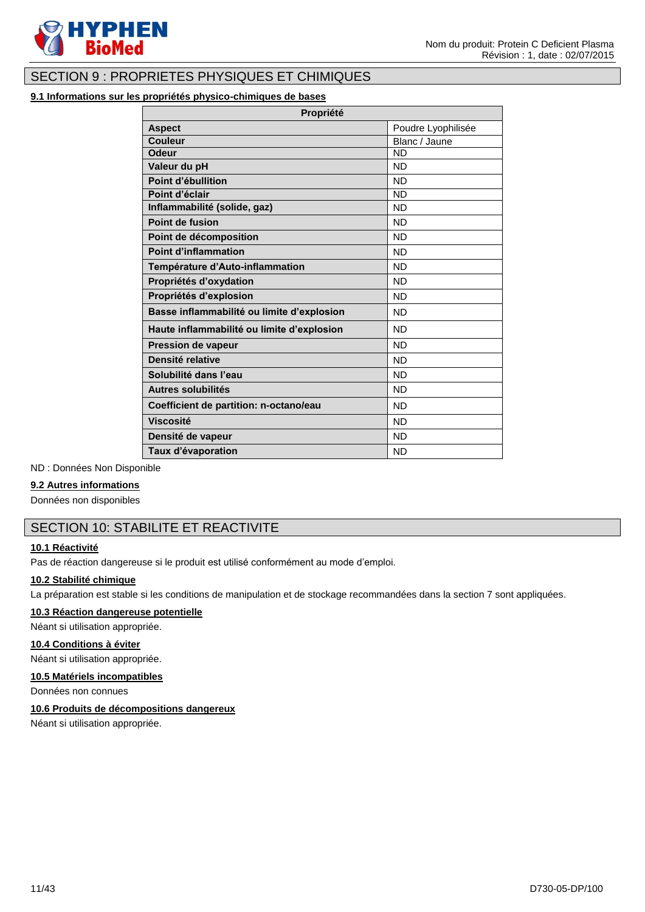

# SECTION 9 : PROPRIETES PHYSIQUES ET CHIMIQUES

# **9.1 Informations sur les propriétés physico-chimiques de bases**

| <b>Propriété</b>                           |                    |
|--------------------------------------------|--------------------|
| <b>Aspect</b>                              | Poudre Lyophilisée |
| <b>Couleur</b>                             | Blanc / Jaune      |
| <b>Odeur</b>                               | <b>ND</b>          |
| Valeur du pH                               | <b>ND</b>          |
| Point d'ébullition                         | <b>ND</b>          |
| Point d'éclair                             | <b>ND</b>          |
| Inflammabilité (solide, gaz)               | <b>ND</b>          |
| Point de fusion                            | <b>ND</b>          |
| Point de décomposition                     | <b>ND</b>          |
| <b>Point d'inflammation</b>                | <b>ND</b>          |
| Température d'Auto-inflammation            | <b>ND</b>          |
| Propriétés d'oxydation                     | <b>ND</b>          |
| Propriétés d'explosion                     | <b>ND</b>          |
| Basse inflammabilité ou limite d'explosion | <b>ND</b>          |
| Haute inflammabilité ou limite d'explosion | <b>ND</b>          |
| <b>Pression de vapeur</b>                  | <b>ND</b>          |
| Densité relative                           | <b>ND</b>          |
| Solubilité dans l'eau                      | <b>ND</b>          |
| Autres solubilités                         | <b>ND</b>          |
| Coefficient de partition: n-octano/eau     | <b>ND</b>          |
| <b>Viscosité</b>                           | <b>ND</b>          |
| Densité de vapeur                          | <b>ND</b>          |
| Taux d'évaporation                         | <b>ND</b>          |

ND : Données Non Disponible

# **9.2 Autres informations**

Données non disponibles

# SECTION 10: STABILITE ET REACTIVITE

### **10.1 Réactivité**

Pas de réaction dangereuse si le produit est utilisé conformément au mode d'emploi.

#### **10.2 Stabilité chimique**

La préparation est stable si les conditions de manipulation et de stockage recommandées dans la section 7 sont appliquées.

# **10.3 Réaction dangereuse potentielle**

Néant si utilisation appropriée.

### **10.4 Conditions à éviter**

Néant si utilisation appropriée.

#### **10.5 Matériels incompatibles**

Données non connues

# **10.6 Produits de décompositions dangereux**

Néant si utilisation appropriée.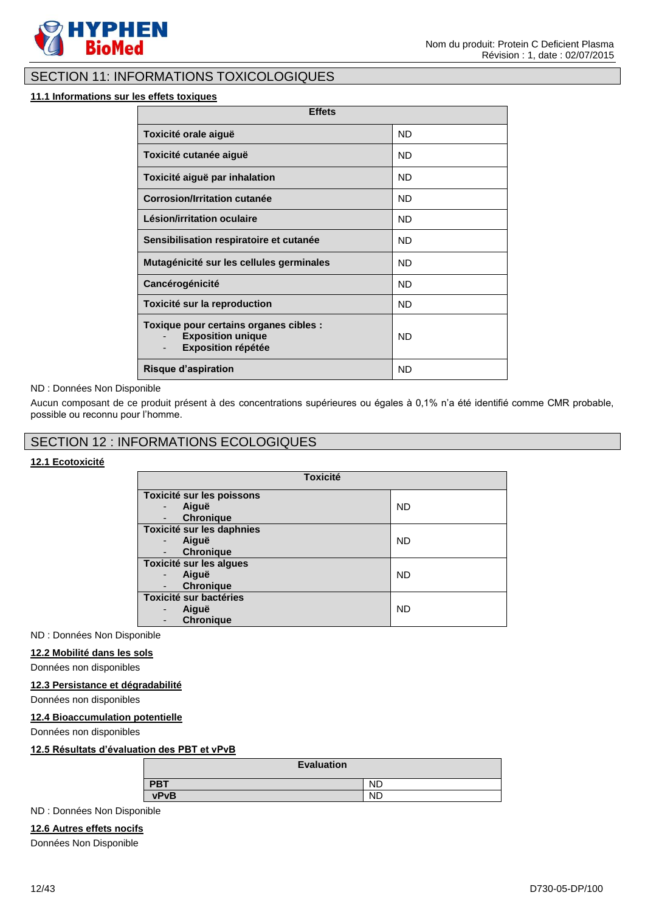

# SECTION 11: INFORMATIONS TOXICOLOGIQUES

#### **11.1 Informations sur les effets toxiques**

| <b>Effets</b>                                                                                   |           |
|-------------------------------------------------------------------------------------------------|-----------|
| Toxicité orale aiguë                                                                            | <b>ND</b> |
| Toxicité cutanée aiguë                                                                          | <b>ND</b> |
| Toxicité aiguë par inhalation                                                                   | <b>ND</b> |
| Corrosion/Irritation cutanée                                                                    | <b>ND</b> |
| Lésion/irritation oculaire                                                                      | <b>ND</b> |
| Sensibilisation respiratoire et cutanée                                                         | <b>ND</b> |
| Mutagénicité sur les cellules germinales                                                        | <b>ND</b> |
| <b>Cancérogénicité</b>                                                                          | <b>ND</b> |
| <b>Toxicité sur la reproduction</b>                                                             | ND        |
| Toxique pour certains organes cibles :<br><b>Exposition unique</b><br><b>Exposition répétée</b> | <b>ND</b> |
| Risque d'aspiration                                                                             | <b>ND</b> |

#### ND : Données Non Disponible

Aucun composant de ce produit présent à des concentrations supérieures ou égales à 0,1% n'a été identifié comme CMR probable, possible ou reconnu pour l'homme.

# SECTION 12 : INFORMATIONS ECOLOGIQUES

# **12.1 Ecotoxicité**

| <b>Toxicité</b>                                                |           |  |
|----------------------------------------------------------------|-----------|--|
| Toxicité sur les poissons<br>Aiguë<br>$\overline{\phantom{a}}$ | <b>ND</b> |  |
| <b>Chronique</b><br>$\overline{\phantom{a}}$                   |           |  |
| Toxicité sur les daphnies                                      |           |  |
| Aiguë<br>$\overline{\phantom{a}}$                              | <b>ND</b> |  |
| <b>Chronique</b><br>$\overline{\phantom{a}}$                   |           |  |
| Toxicité sur les algues                                        |           |  |
| Aiguë<br>$\qquad \qquad \blacksquare$                          | <b>ND</b> |  |
| <b>Chronique</b><br>$\overline{\phantom{a}}$                   |           |  |
| Toxicité sur bactéries                                         |           |  |
| Aiguë<br>-                                                     | <b>ND</b> |  |
| <b>Chronique</b>                                               |           |  |

### ND : Données Non Disponible

#### **12.2 Mobilité dans les sols**

Données non disponibles

# **12.3 Persistance et dégradabilité**

Données non disponibles

# **12.4 Bioaccumulation potentielle**

Données non disponibles

# **12.5 Résultats d'évaluation des PBT et vPvB**

| <b>Evaluation</b> |           |
|-------------------|-----------|
| <b>PBT</b>        | <b>ND</b> |
| <b>vPvB</b>       | <b>ND</b> |

# ND : Données Non Disponible

# **12.6 Autres effets nocifs**

Données Non Disponible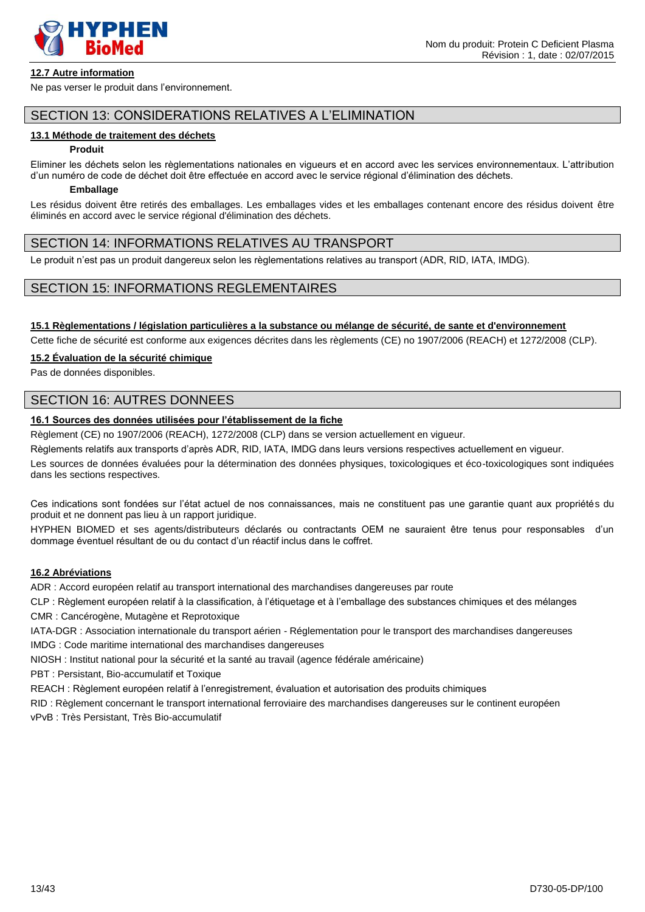

### **12.7 Autre information**

Ne pas verser le produit dans l'environnement.

# SECTION 13: CONSIDERATIONS RELATIVES A L'ELIMINATION

### **13.1 Méthode de traitement des déchets**

#### **Produit**

Eliminer les déchets selon les règlementations nationales en vigueurs et en accord avec les services environnementaux. L'attribution d'un numéro de code de déchet doit être effectuée en accord avec le service régional d'élimination des déchets.

#### **Emballage**

Les résidus doivent être retirés des emballages. Les emballages vides et les emballages contenant encore des résidus doivent être éliminés en accord avec le service régional d'élimination des déchets.

# SECTION 14: INFORMATIONS RELATIVES AU TRANSPORT

Le produit n'est pas un produit dangereux selon les règlementations relatives au transport (ADR, RID, IATA, IMDG).

# SECTION 15: INFORMATIONS REGLEMENTAIRES

#### **15.1 Règlementations / législation particulières a la substance ou mélange de sécurité, de sante et d'environnement**

Cette fiche de sécurité est conforme aux exigences décrites dans les règlements (CE) no 1907/2006 (REACH) et 1272/2008 (CLP).

### **15.2 Évaluation de la sécurité chimique**

Pas de données disponibles.

# SECTION 16: AUTRES DONNEES

# **16.1 Sources des données utilisées pour l'établissement de la fiche**

Règlement (CE) no 1907/2006 (REACH), 1272/2008 (CLP) dans se version actuellement en vigueur.

Règlements relatifs aux transports d'après ADR, RID, IATA, IMDG dans leurs versions respectives actuellement en vigueur.

Les sources de données évaluées pour la détermination des données physiques, toxicologiques et éco-toxicologiques sont indiquées dans les sections respectives.

Ces indications sont fondées sur l'état actuel de nos connaissances, mais ne constituent pas une garantie quant aux propriétés du produit et ne donnent pas lieu à un rapport juridique.

HYPHEN BIOMED et ses agents/distributeurs déclarés ou contractants OEM ne sauraient être tenus pour responsables d'un dommage éventuel résultant de ou du contact d'un réactif inclus dans le coffret.

# **16.2 Abréviations**

ADR : Accord européen relatif au transport international des marchandises dangereuses par route

CLP : Règlement européen relatif à la classification, à l'étiquetage et à l'emballage des substances chimiques et des mélanges CMR : Cancérogène, Mutagène et Reprotoxique

IATA-DGR : Association internationale du transport aérien - Réglementation pour le transport des marchandises dangereuses

IMDG : Code maritime international des marchandises dangereuses

NIOSH : Institut national pour la sécurité et la santé au travail (agence fédérale américaine)

PBT : Persistant, Bio-accumulatif et Toxique

REACH : Règlement européen relatif à l'enregistrement, évaluation et autorisation des produits chimiques

RID : Règlement concernant le transport international ferroviaire des marchandises dangereuses sur le continent européen

vPvB : Très Persistant, Très Bio-accumulatif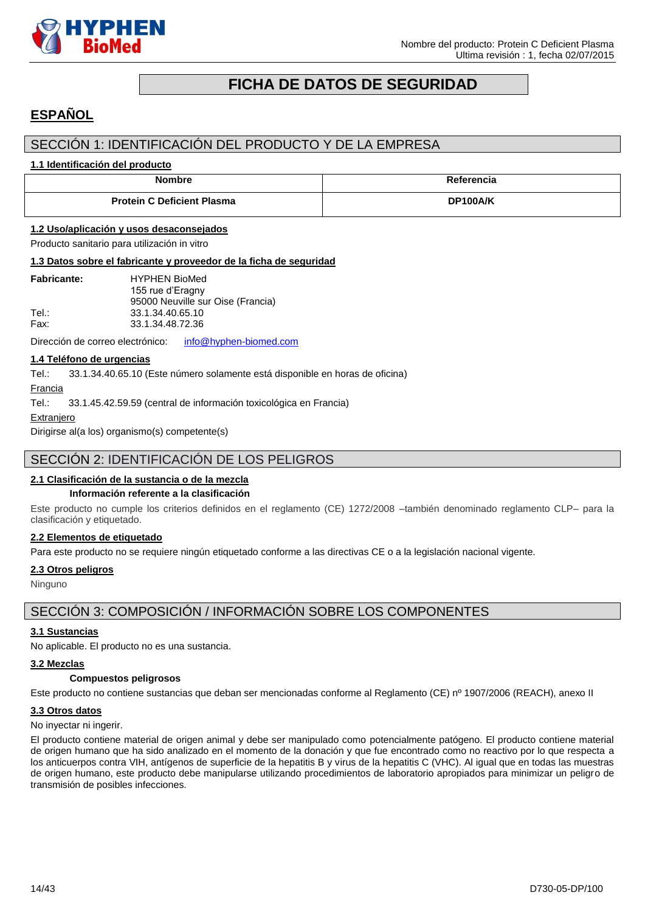

# **FICHA DE DATOS DE SEGURIDAD**

# <span id="page-13-0"></span>**ESPAÑOL**

# SECCIÓN 1: IDENTIFICACIÓN DEL PRODUCTO Y DE LA EMPRESA

### **1.1 Identificación del producto**

| <b>Nombre</b>                     | Referencia      |
|-----------------------------------|-----------------|
| <b>Protein C Deficient Plasma</b> | <b>DP100A/K</b> |

# **1.2 Uso/aplicación y usos desaconsejados**

Producto sanitario para utilización in vitro

### **1.3 Datos sobre el fabricante y proveedor de la ficha de seguridad**

| <b>Fabricante:</b> | <b>HYPHEN BioMed</b>              |
|--------------------|-----------------------------------|
|                    | 155 rue d'Eragny                  |
|                    | 95000 Neuville sur Oise (Francia) |
| Tel :              | 33.1.34.40.65.10                  |
| Fax:               | 33.1.34.48.72.36                  |

Dirección de correo electrónico: [info@hyphen-biomed.com](mailto:info@hyphen-biomed.com)

# **1.4 Teléfono de urgencias**

Tel.: 33.1.34.40.65.10 (Este número solamente está disponible en horas de oficina)

Francia

Tel.: 33.1.45.42.59.59 (central de información toxicológica en Francia)

**Extranjero** 

Dirigirse al(a los) organismo(s) competente(s)

# SECCIÓN 2: IDENTIFICACIÓN DE LOS PELIGROS

### **2.1 Clasificación de la sustancia o de la mezcla**

### **Información referente a la clasificación**

Este producto no cumple los criterios definidos en el reglamento (CE) 1272/2008 –también denominado reglamento CLP– para la clasificación y etiquetado.

### **2.2 Elementos de etiquetado**

Para este producto no se requiere ningún etiquetado conforme a las directivas CE o a la legislación nacional vigente.

#### **2.3 Otros peligros**

Ninguno

# SECCIÓN 3: COMPOSICIÓN / INFORMACIÓN SOBRE LOS COMPONENTES

### **3.1 Sustancias**

No aplicable. El producto no es una sustancia.

#### **3.2 Mezclas**

#### **Compuestos peligrosos**

Este producto no contiene sustancias que deban ser mencionadas conforme al Reglamento (CE) nº 1907/2006 (REACH), anexo II

#### **3.3 Otros datos**

No inyectar ni ingerir.

El producto contiene material de origen animal y debe ser manipulado como potencialmente patógeno. El producto contiene material de origen humano que ha sido analizado en el momento de la donación y que fue encontrado como no reactivo por lo que respecta a los anticuerpos contra VIH, antígenos de superficie de la hepatitis B y virus de la hepatitis C (VHC). Al igual que en todas las muestras de origen humano, este producto debe manipularse utilizando procedimientos de laboratorio apropiados para minimizar un peligro de transmisión de posibles infecciones.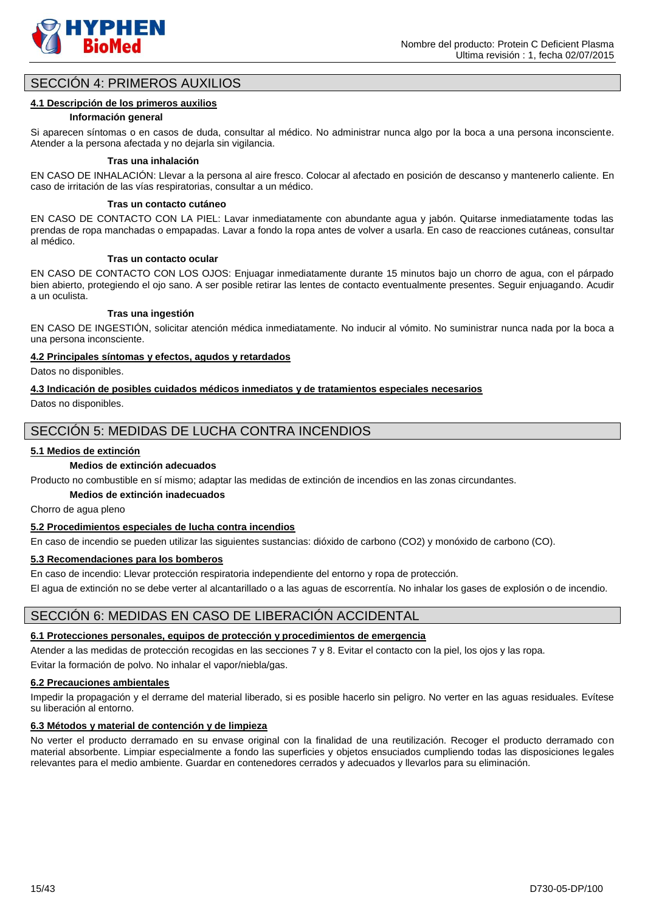

# SECCIÓN 4: PRIMEROS AUXILIOS

### **4.1 Descripción de los primeros auxilios**

#### **Información general**

Si aparecen síntomas o en casos de duda, consultar al médico. No administrar nunca algo por la boca a una persona inconsciente. Atender a la persona afectada y no dejarla sin vigilancia.

#### **Tras una inhalación**

EN CASO DE INHALACIÓN: Llevar a la persona al aire fresco. Colocar al afectado en posición de descanso y mantenerlo caliente. En caso de irritación de las vías respiratorias, consultar a un médico.

#### **Tras un contacto cutáneo**

EN CASO DE CONTACTO CON LA PIEL: Lavar inmediatamente con abundante agua y jabón. Quitarse inmediatamente todas las prendas de ropa manchadas o empapadas. Lavar a fondo la ropa antes de volver a usarla. En caso de reacciones cutáneas, consultar al médico.

#### **Tras un contacto ocular**

EN CASO DE CONTACTO CON LOS OJOS: Enjuagar inmediatamente durante 15 minutos bajo un chorro de agua, con el párpado bien abierto, protegiendo el ojo sano. A ser posible retirar las lentes de contacto eventualmente presentes. Seguir enjuagando. Acudir a un oculista.

#### **Tras una ingestión**

EN CASO DE INGESTIÓN, solicitar atención médica inmediatamente. No inducir al vómito. No suministrar nunca nada por la boca a una persona inconsciente.

#### **4.2 Principales síntomas y efectos, agudos y retardados**

Datos no disponibles.

#### **4.3 Indicación de posibles cuidados médicos inmediatos y de tratamientos especiales necesarios**

Datos no disponibles.

# SECCIÓN 5: MEDIDAS DE LUCHA CONTRA INCENDIOS

#### **5.1 Medios de extinción**

#### **Medios de extinción adecuados**

Producto no combustible en sí mismo; adaptar las medidas de extinción de incendios en las zonas circundantes.

# **Medios de extinción inadecuados**

Chorro de agua pleno

## **5.2 Procedimientos especiales de lucha contra incendios**

En caso de incendio se pueden utilizar las siguientes sustancias: dióxido de carbono (CO2) y monóxido de carbono (CO).

### **5.3 Recomendaciones para los bomberos**

En caso de incendio: Llevar protección respiratoria independiente del entorno y ropa de protección.

El agua de extinción no se debe verter al alcantarillado o a las aguas de escorrentía. No inhalar los gases de explosión o de incendio.

# SECCIÓN 6: MEDIDAS EN CASO DE LIBERACIÓN ACCIDENTAL

# **6.1 Protecciones personales, equipos de protección y procedimientos de emergencia**

Atender a las medidas de protección recogidas en las secciones 7 y 8. Evitar el contacto con la piel, los ojos y las ropa. Evitar la formación de polvo. No inhalar el vapor/niebla/gas.

# **6.2 Precauciones ambientales**

Impedir la propagación y el derrame del material liberado, si es posible hacerlo sin peligro. No verter en las aguas residuales. Evítese su liberación al entorno.

# **6.3 Métodos y material de contención y de limpieza**

No verter el producto derramado en su envase original con la finalidad de una reutilización. Recoger el producto derramado con material absorbente. Limpiar especialmente a fondo las superficies y objetos ensuciados cumpliendo todas las disposiciones legales relevantes para el medio ambiente. Guardar en contenedores cerrados y adecuados y llevarlos para su eliminación.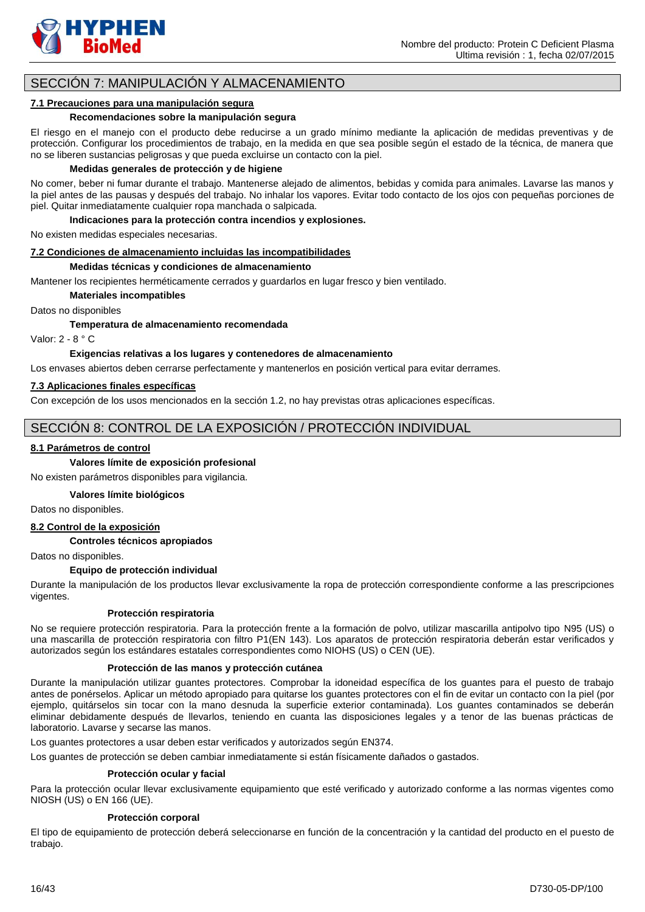

# SECCIÓN 7: MANIPULACIÓN Y ALMACENAMIENTO

#### **7.1 Precauciones para una manipulación segura**

#### **Recomendaciones sobre la manipulación segura**

El riesgo en el manejo con el producto debe reducirse a un grado mínimo mediante la aplicación de medidas preventivas y de protección. Configurar los procedimientos de trabajo, en la medida en que sea posible según el estado de la técnica, de manera que no se liberen sustancias peligrosas y que pueda excluirse un contacto con la piel.

#### **Medidas generales de protección y de higiene**

No comer, beber ni fumar durante el trabajo. Mantenerse alejado de alimentos, bebidas y comida para animales. Lavarse las manos y la piel antes de las pausas y después del trabajo. No inhalar los vapores. Evitar todo contacto de los ojos con pequeñas porciones de piel. Quitar inmediatamente cualquier ropa manchada o salpicada.

**Indicaciones para la protección contra incendios y explosiones.**

No existen medidas especiales necesarias.

#### **7.2 Condiciones de almacenamiento incluidas las incompatibilidades**

#### **Medidas técnicas y condiciones de almacenamiento**

Mantener los recipientes herméticamente cerrados y guardarlos en lugar fresco y bien ventilado.

#### **Materiales incompatibles**

Datos no disponibles

**Temperatura de almacenamiento recomendada**

Valor: 2 - 8 ° C

#### **Exigencias relativas a los lugares y contenedores de almacenamiento**

Los envases abiertos deben cerrarse perfectamente y mantenerlos en posición vertical para evitar derrames.

#### **7.3 Aplicaciones finales específicas**

Con excepción de los usos mencionados en la sección 1.2, no hay previstas otras aplicaciones específicas.

# SECCIÓN 8: CONTROL DE LA EXPOSICIÓN / PROTECCIÓN INDIVIDUAL

#### **8.1 Parámetros de control**

# **Valores límite de exposición profesional**

No existen parámetros disponibles para vigilancia.

#### **Valores límite biológicos**

Datos no disponibles.

# **8.2 Control de la exposición**

#### **Controles técnicos apropiados**

Datos no disponibles.

#### **Equipo de protección individual**

Durante la manipulación de los productos llevar exclusivamente la ropa de protección correspondiente conforme a las prescripciones vigentes.

#### **Protección respiratoria**

No se requiere protección respiratoria. Para la protección frente a la formación de polvo, utilizar mascarilla antipolvo tipo N95 (US) o una mascarilla de protección respiratoria con filtro P1(EN 143). Los aparatos de protección respiratoria deberán estar verificados y autorizados según los estándares estatales correspondientes como NIOHS (US) o CEN (UE).

#### **Protección de las manos y protección cutánea**

Durante la manipulación utilizar guantes protectores. Comprobar la idoneidad específica de los guantes para el puesto de trabajo antes de ponérselos. Aplicar un método apropiado para quitarse los guantes protectores con el fin de evitar un contacto con la piel (por ejemplo, quitárselos sin tocar con la mano desnuda la superficie exterior contaminada). Los guantes contaminados se deberán eliminar debidamente después de llevarlos, teniendo en cuanta las disposiciones legales y a tenor de las buenas prácticas de laboratorio. Lavarse y secarse las manos.

Los guantes protectores a usar deben estar verificados y autorizados según EN374.

Los guantes de protección se deben cambiar inmediatamente si están físicamente dañados o gastados.

#### **Protección ocular y facial**

Para la protección ocular llevar exclusivamente equipamiento que esté verificado y autorizado conforme a las normas vigentes como NIOSH (US) o EN 166 (UE).

#### **Protección corporal**

El tipo de equipamiento de protección deberá seleccionarse en función de la concentración y la cantidad del producto en el puesto de trabajo.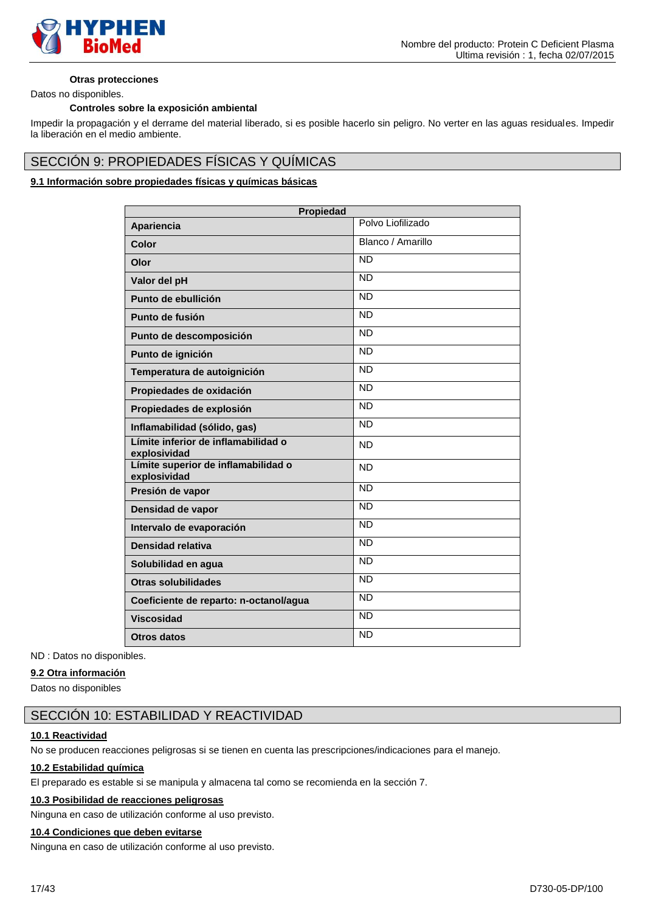

# **Otras protecciones**

Datos no disponibles.

#### **Controles sobre la exposición ambiental**

Impedir la propagación y el derrame del material liberado, si es posible hacerlo sin peligro. No verter en las aguas residuales. Impedir la liberación en el medio ambiente.

# SECCIÓN 9: PROPIEDADES FÍSICAS Y QUÍMICAS

# **9.1 Información sobre propiedades físicas y químicas básicas**

| Propiedad                                           |                   |
|-----------------------------------------------------|-------------------|
| Apariencia                                          | Polvo Liofilizado |
| Color                                               | Blanco / Amarillo |
| Olor                                                | <b>ND</b>         |
| Valor del pH                                        | <b>ND</b>         |
| Punto de ebullición                                 | <b>ND</b>         |
| Punto de fusión                                     | <b>ND</b>         |
| Punto de descomposición                             | <b>ND</b>         |
| Punto de ignición                                   | <b>ND</b>         |
| Temperatura de autoignición                         | <b>ND</b>         |
| Propiedades de oxidación                            | <b>ND</b>         |
| Propiedades de explosión                            | <b>ND</b>         |
| Inflamabilidad (sólido, gas)                        | <b>ND</b>         |
| Límite inferior de inflamabilidad o<br>explosividad | <b>ND</b>         |
| Límite superior de inflamabilidad o<br>explosividad | <b>ND</b>         |
| Presión de vapor                                    | <b>ND</b>         |
| Densidad de vapor                                   | <b>ND</b>         |
| Intervalo de evaporación                            | <b>ND</b>         |
| Densidad relativa                                   | <b>ND</b>         |
| Solubilidad en agua                                 | <b>ND</b>         |
| <b>Otras solubilidades</b>                          | <b>ND</b>         |
| Coeficiente de reparto: n-octanol/agua              | <b>ND</b>         |
| <b>Viscosidad</b>                                   | <b>ND</b>         |
| Otros datos                                         | <b>ND</b>         |

ND : Datos no disponibles.

# **9.2 Otra información**

Datos no disponibles

# SECCIÓN 10: ESTABILIDAD Y REACTIVIDAD

#### **10.1 Reactividad**

No se producen reacciones peligrosas si se tienen en cuenta las prescripciones/indicaciones para el manejo.

### **10.2 Estabilidad química**

El preparado es estable si se manipula y almacena tal como se recomienda en la sección 7.

# **10.3 Posibilidad de reacciones peligrosas**

Ninguna en caso de utilización conforme al uso previsto.

# **10.4 Condiciones que deben evitarse**

Ninguna en caso de utilización conforme al uso previsto.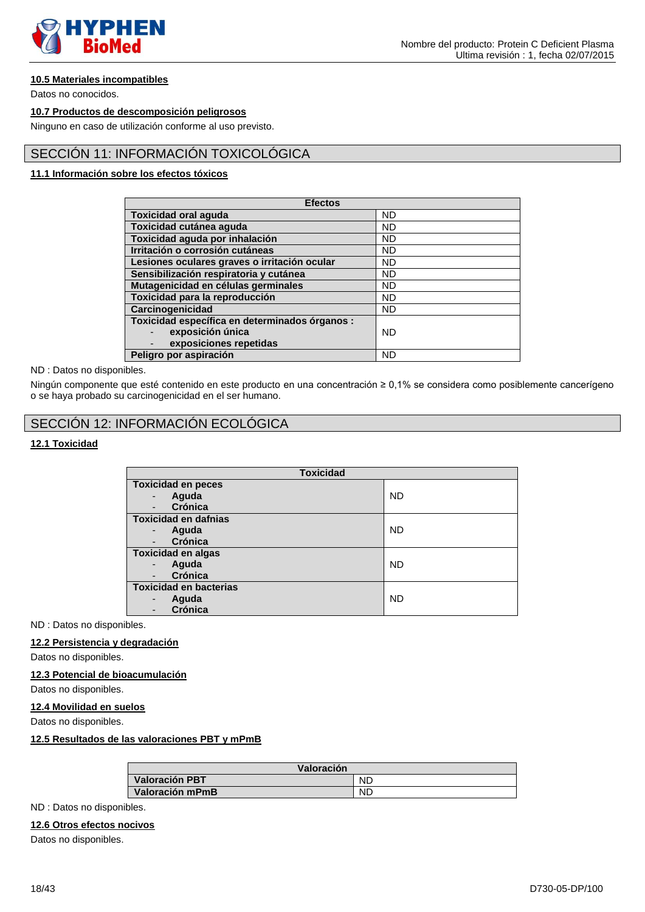



# **10.5 Materiales incompatibles**

Datos no conocidos.

# **10.7 Productos de descomposición peligrosos**

Ninguno en caso de utilización conforme al uso previsto.

# SECCIÓN 11: INFORMACIÓN TOXICOLÓGICA

# **11.1 Información sobre los efectos tóxicos**

| <b>Efectos</b>                                 |           |
|------------------------------------------------|-----------|
| <b>Toxicidad oral aguda</b>                    | <b>ND</b> |
| Toxicidad cutánea aguda                        | <b>ND</b> |
| Toxicidad aguda por inhalación                 | <b>ND</b> |
| Irritación o corrosión cutáneas                | <b>ND</b> |
| Lesiones oculares graves o irritación ocular   | <b>ND</b> |
| Sensibilización respiratoria y cutánea         | <b>ND</b> |
| Mutagenicidad en células germinales            | <b>ND</b> |
| Toxicidad para la reproducción                 | <b>ND</b> |
| Carcinogenicidad                               | <b>ND</b> |
| Toxicidad específica en determinados órganos : |           |
| exposición única                               | <b>ND</b> |
| exposiciones repetidas                         |           |
| Peligro por aspiración                         | <b>ND</b> |

#### ND : Datos no disponibles.

Ningún componente que esté contenido en este producto en una concentración ≥ 0,1% se considera como posiblemente cancerígeno o se haya probado su carcinogenicidad en el ser humano.

# SECCIÓN 12: INFORMACIÓN ECOLÓGICA

# **12.1 Toxicidad**

| <b>Toxicidad</b>                        |           |
|-----------------------------------------|-----------|
| <b>Toxicidad en peces</b>               |           |
| Aguda<br>$\qquad \qquad \blacksquare$   | <b>ND</b> |
| Crónica<br>$\blacksquare$               |           |
| Toxicidad en dafnias                    |           |
| Aguda<br>$\qquad \qquad \blacksquare$   | <b>ND</b> |
| Crónica<br>$\overline{\phantom{m}}$     |           |
| <b>Toxicidad en algas</b>               |           |
| Aguda<br>$\overline{\phantom{a}}$       | <b>ND</b> |
| Crónica<br>$\qquad \qquad \blacksquare$ |           |
| <b>Toxicidad en bacterias</b>           |           |
| Aguda<br>$\qquad \qquad \blacksquare$   | <b>ND</b> |
| Crónica<br>$\qquad \qquad \blacksquare$ |           |

ND : Datos no disponibles.

# **12.2 Persistencia y degradación**

Datos no disponibles.

# **12.3 Potencial de bioacumulación**

Datos no disponibles.

#### **12.4 Movilidad en suelos**

Datos no disponibles.

#### **12.5 Resultados de las valoraciones PBT y mPmB**

| Valoración            |           |
|-----------------------|-----------|
| <b>Valoración PBT</b> | <b>ND</b> |
| Valoración mPmB       | <b>ND</b> |

ND : Datos no disponibles.

# **12.6 Otros efectos nocivos**

Datos no disponibles.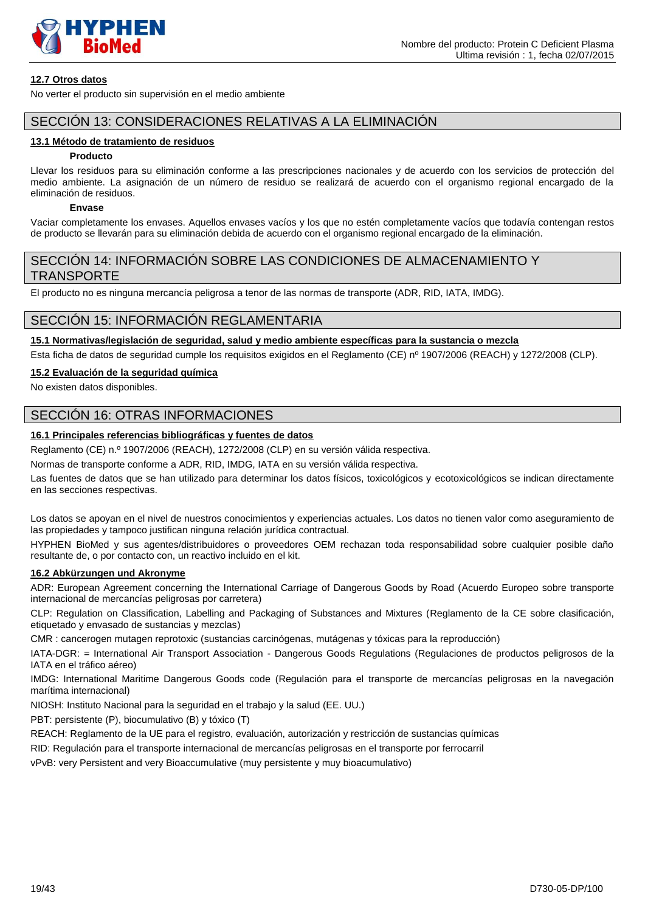

# **12.7 Otros datos**

No verter el producto sin supervisión en el medio ambiente

# SECCIÓN 13: CONSIDERACIONES RELATIVAS A LA ELIMINACIÓN

### **13.1 Método de tratamiento de residuos**

#### **Producto**

Llevar los residuos para su eliminación conforme a las prescripciones nacionales y de acuerdo con los servicios de protección del medio ambiente. La asignación de un número de residuo se realizará de acuerdo con el organismo regional encargado de la eliminación de residuos.

# **Envase**

Vaciar completamente los envases. Aquellos envases vacíos y los que no estén completamente vacíos que todavía contengan restos de producto se llevarán para su eliminación debida de acuerdo con el organismo regional encargado de la eliminación.

# SECCIÓN 14: INFORMACIÓN SOBRE LAS CONDICIONES DE ALMACENAMIENTO Y TRANSPORTE

El producto no es ninguna mercancía peligrosa a tenor de las normas de transporte (ADR, RID, IATA, IMDG).

# SECCIÓN 15: INFORMACIÓN REGLAMENTARIA

# **15.1 Normativas/legislación de seguridad, salud y medio ambiente específicas para la sustancia o mezcla**

Esta ficha de datos de seguridad cumple los requisitos exigidos en el Reglamento (CE) nº 1907/2006 (REACH) y 1272/2008 (CLP).

# **15.2 Evaluación de la seguridad química**

No existen datos disponibles.

# SECCIÓN 16: OTRAS INFORMACIONES

# **16.1 Principales referencias bibliográficas y fuentes de datos**

Reglamento (CE) n.º 1907/2006 (REACH), 1272/2008 (CLP) en su versión válida respectiva.

Normas de transporte conforme a ADR, RID, IMDG, IATA en su versión válida respectiva.

Las fuentes de datos que se han utilizado para determinar los datos físicos, toxicológicos y ecotoxicológicos se indican directamente en las secciones respectivas.

Los datos se apoyan en el nivel de nuestros conocimientos y experiencias actuales. Los datos no tienen valor como aseguramiento de las propiedades y tampoco justifican ninguna relación jurídica contractual.

HYPHEN BioMed y sus agentes/distribuidores o proveedores OEM rechazan toda responsabilidad sobre cualquier posible daño resultante de, o por contacto con, un reactivo incluido en el kit.

# **16.2 Abkürzungen und Akronyme**

ADR: European Agreement concerning the International Carriage of Dangerous Goods by Road (Acuerdo Europeo sobre transporte internacional de mercancías peligrosas por carretera)

CLP: Regulation on Classification, Labelling and Packaging of Substances and Mixtures (Reglamento de la CE sobre clasificación, etiquetado y envasado de sustancias y mezclas)

CMR : cancerogen mutagen reprotoxic (sustancias carcinógenas, mutágenas y tóxicas para la reproducción)

IATA-DGR: = International Air Transport Association - Dangerous Goods Regulations (Regulaciones de productos peligrosos de la IATA en el tráfico aéreo)

IMDG: International Maritime Dangerous Goods code (Regulación para el transporte de mercancías peligrosas en la navegación marítima internacional)

NIOSH: Instituto Nacional para la seguridad en el trabajo y la salud (EE. UU.)

PBT: persistente (P), biocumulativo (B) y tóxico (T)

REACH: Reglamento de la UE para el registro, evaluación, autorización y restricción de sustancias químicas

RID: Regulación para el transporte internacional de mercancías peligrosas en el transporte por ferrocarril

vPvB: very Persistent and very Bioaccumulative (muy persistente y muy bioacumulativo)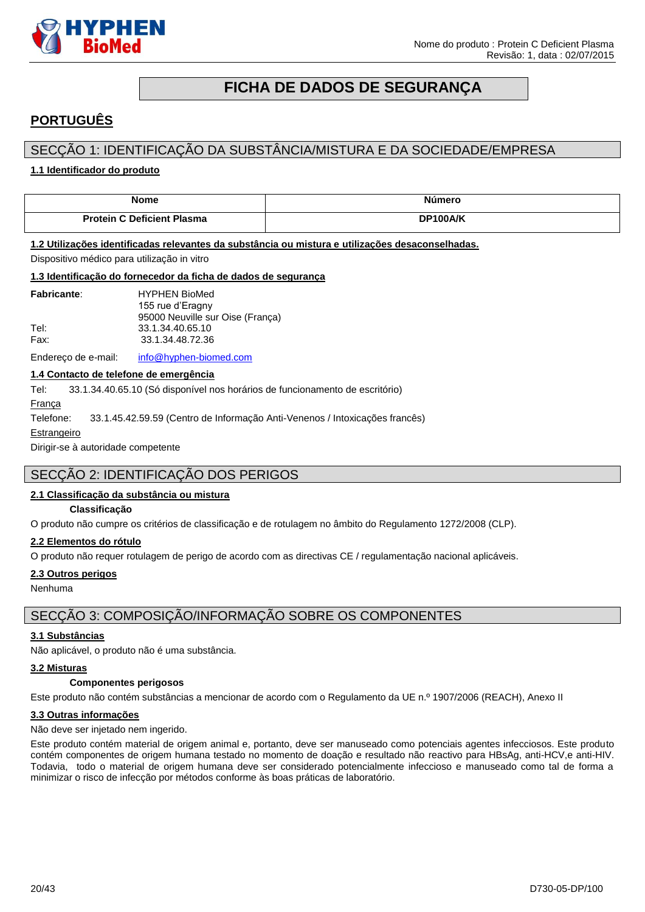

# **FICHA DE DADOS DE SEGURANÇA**

# <span id="page-19-0"></span>**PORTUGUÊS**

# SECÇÃO 1: IDENTIFICAÇÃO DA SUBSTÂNCIA/MISTURA E DA SOCIEDADE/EMPRESA

### **1.1 Identificador do produto**

| <b>Nome</b>                       | Número   |
|-----------------------------------|----------|
| <b>Protein C Deficient Plasma</b> | DP100A/K |

#### **1.2 Utilizações identificadas relevantes da substância ou mistura e utilizações desaconselhadas.**

Dispositivo médico para utilização in vitro

#### **1.3 Identificação do fornecedor da ficha de dados de segurança**

| <b>Fabricante:</b> | <b>HYPHEN BioMed</b>             |
|--------------------|----------------------------------|
|                    | 155 rue d'Eragny                 |
|                    | 95000 Neuville sur Oise (França) |
| Tel:               | 33.1.34.40.65.10                 |
| Fax:               | 33.1.34.48.72.36                 |
|                    |                                  |

Endereço de e-mail: [info@hyphen-biomed.com](mailto:info@hyphen-biomed.com)

# **1.4 Contacto de telefone de emergência**

Tel: 33.1.34.40.65.10 (Só disponível nos horários de funcionamento de escritório)

França

Telefone: 33.1.45.42.59.59 (Centro de Informação Anti-Venenos / Intoxicações francês)

#### Estrangeiro

Dirigir-se à autoridade competente

# SECÇÃO 2: IDENTIFICAÇÃO DOS PERIGOS

### **2.1 Classificação da substância ou mistura**

#### **Classificação**

O produto não cumpre os critérios de classificação e de rotulagem no âmbito do Regulamento 1272/2008 (CLP).

#### **2.2 Elementos do rótulo**

O produto não requer rotulagem de perigo de acordo com as directivas CE / regulamentação nacional aplicáveis.

#### **2.3 Outros perigos**

Nenhuma

# SECÇÃO 3: COMPOSIÇÃO/INFORMAÇÃO SOBRE OS COMPONENTES

### **3.1 Substâncias**

Não aplicável, o produto não é uma substância.

#### **3.2 Misturas**

#### **Componentes perigosos**

Este produto não contém substâncias a mencionar de acordo com o Regulamento da UE n.º 1907/2006 (REACH), Anexo II

#### **3.3 Outras informações**

Não deve ser injetado nem ingerido.

Este produto contém material de origem animal e, portanto, deve ser manuseado como potenciais agentes infecciosos. Este produto contém componentes de origem humana testado no momento de doação e resultado não reactivo para HBsAg, anti-HCV,e anti-HIV. Todavia, todo o material de origem humana deve ser considerado potencialmente infeccioso e manuseado como tal de forma a minimizar o risco de infecção por métodos conforme às boas práticas de laboratório.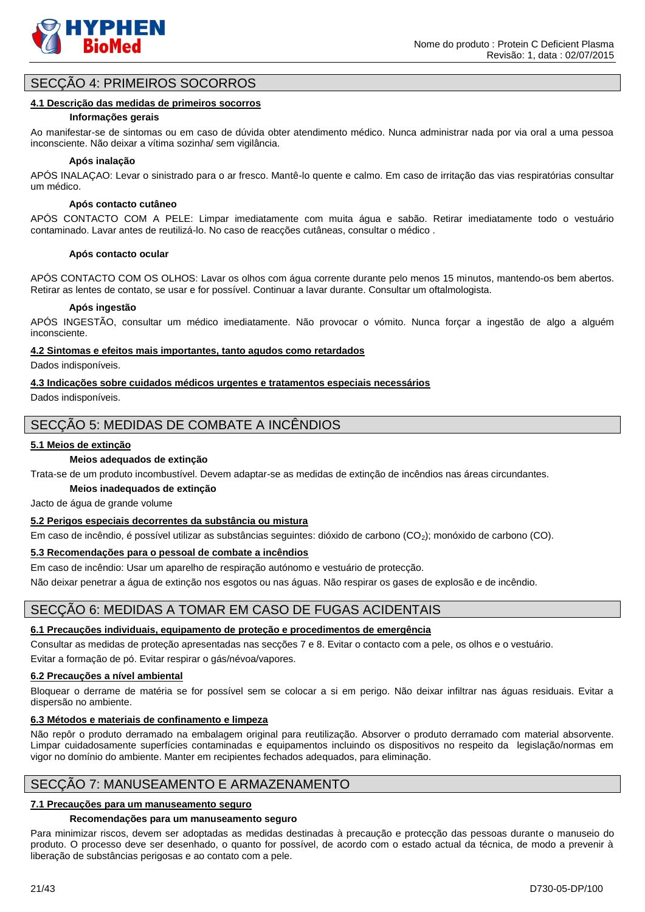

# SECÇÃO 4: PRIMEIROS SOCORROS

#### **4.1 Descrição das medidas de primeiros socorros**

#### **Informações gerais**

Ao manifestar-se de sintomas ou em caso de dúvida obter atendimento médico. Nunca administrar nada por via oral a uma pessoa inconsciente. Não deixar a vítima sozinha/ sem vigilância.

### **Após inalação**

APÓS INALAÇAO: Levar o sinistrado para o ar fresco. Mantê-lo quente e calmo. Em caso de irritação das vias respiratórias consultar um médico.

#### **Após contacto cutâneo**

APÓS CONTACTO COM A PELE: Limpar imediatamente com muita água e sabão. Retirar imediatamente todo o vestuário contaminado. Lavar antes de reutilizá-lo. No caso de reacções cutâneas, consultar o médico .

#### **Após contacto ocular**

APÓS CONTACTO COM OS OLHOS: Lavar os olhos com água corrente durante pelo menos 15 minutos, mantendo-os bem abertos. Retirar as lentes de contato, se usar e for possível. Continuar a lavar durante. Consultar um oftalmologista.

#### **Após ingestão**

APÓS INGESTÃO, consultar um médico imediatamente. Não provocar o vómito. Nunca forçar a ingestão de algo a alguém inconsciente.

# **4.2 Sintomas e efeitos mais importantes, tanto agudos como retardados**

Dados indisponíveis.

### **4.3 Indicações sobre cuidados médicos urgentes e tratamentos especiais necessários**

Dados indisponíveis.

# SECÇÃO 5: MEDIDAS DE COMBATE A INCÊNDIOS

### **5.1 Meios de extinção**

### **Meios adequados de extinção**

Trata-se de um produto incombustível. Devem adaptar-se as medidas de extinção de incêndios nas áreas circundantes.

#### **Meios inadequados de extinção**

Jacto de água de grande volume

# **5.2 Perigos especiais decorrentes da substância ou mistura**

Em caso de incêndio, é possível utilizar as substâncias seguintes: dióxido de carbono (CO2); monóxido de carbono (CO).

### **5.3 Recomendações para o pessoal de combate a incêndios**

Em caso de incêndio: Usar um aparelho de respiração autónomo e vestuário de protecção.

Não deixar penetrar a água de extinção nos esgotos ou nas águas. Não respirar os gases de explosão e de incêndio.

# SECÇÃO 6: MEDIDAS A TOMAR EM CASO DE FUGAS ACIDENTAIS

# **6.1 Precauções individuais, equipamento de proteção e procedimentos de emergência**

Consultar as medidas de proteção apresentadas nas secções 7 e 8. Evitar o contacto com a pele, os olhos e o vestuário. Evitar a formação de pó. Evitar respirar o gás/névoa/vapores.

# **6.2 Precauções a nível ambiental**

Bloquear o derrame de matéria se for possível sem se colocar a si em perigo. Não deixar infiltrar nas águas residuais. Evitar a dispersão no ambiente.

# **6.3 Métodos e materiais de confinamento e limpeza**

Não repôr o produto derramado na embalagem original para reutilização. Absorver o produto derramado com material absorvente. Limpar cuidadosamente superfícies contaminadas e equipamentos incluindo os dispositivos no respeito da legislação/normas em vigor no domínio do ambiente. Manter em recipientes fechados adequados, para eliminação.

# SECÇÃO 7: MANUSEAMENTO E ARMAZENAMENTO

# **7.1 Precauções para um manuseamento seguro**

# **Recomendações para um manuseamento seguro**

Para minimizar riscos, devem ser adoptadas as medidas destinadas à precaução e protecção das pessoas durante o manuseio do produto. O processo deve ser desenhado, o quanto for possível, de acordo com o estado actual da técnica, de modo a prevenir à liberação de substâncias perigosas e ao contato com a pele.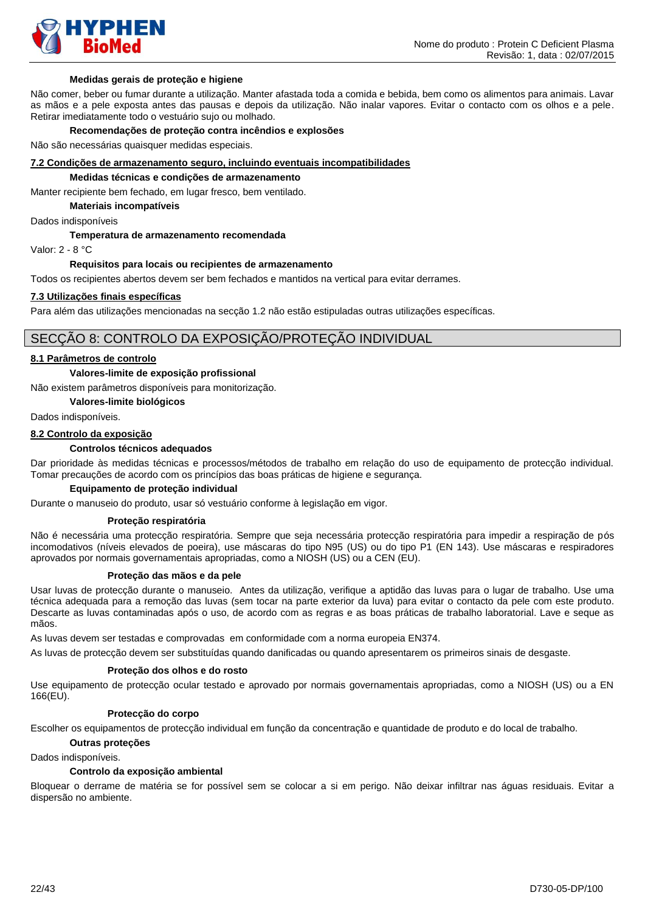

#### **Medidas gerais de proteção e higiene**

Não comer, beber ou fumar durante a utilização. Manter afastada toda a comida e bebida, bem como os alimentos para animais. Lavar as mãos e a pele exposta antes das pausas e depois da utilização. Não inalar vapores. Evitar o contacto com os olhos e a pele. Retirar imediatamente todo o vestuário sujo ou molhado.

#### **Recomendações de proteção contra incêndios e explosões**

Não são necessárias quaisquer medidas especiais.

#### **7.2 Condições de armazenamento seguro, incluindo eventuais incompatibilidades**

#### **Medidas técnicas e condições de armazenamento**

Manter recipiente bem fechado, em lugar fresco, bem ventilado.

**Materiais incompatíveis**

Dados indisponíveis

#### **Temperatura de armazenamento recomendada**

Valor: 2 - 8 °C

#### **Requisitos para locais ou recipientes de armazenamento**

Todos os recipientes abertos devem ser bem fechados e mantidos na vertical para evitar derrames.

#### **7.3 Utilizações finais específicas**

Para além das utilizações mencionadas na secção 1.2 não estão estipuladas outras utilizações específicas.

# SECÇÃO 8: CONTROLO DA EXPOSIÇÃO/PROTEÇÃO INDIVIDUAL

#### **8.1 Parâmetros de controlo**

#### **Valores-limite de exposição profissional**

Não existem parâmetros disponíveis para monitorização.

**Valores-limite biológicos** 

Dados indisponíveis.

#### **8.2 Controlo da exposição**

#### **Controlos técnicos adequados**

Dar prioridade às medidas técnicas e processos/métodos de trabalho em relação do uso de equipamento de protecção individual. Tomar precauções de acordo com os princípios das boas práticas de higiene e segurança.

#### **Equipamento de proteção individual**

Durante o manuseio do produto, usar só vestuário conforme à legislação em vigor.

#### **Proteção respiratória**

Não é necessária uma protecção respiratória. Sempre que seja necessária protecção respiratória para impedir a respiração de pós incomodativos (níveis elevados de poeira), use máscaras do tipo N95 (US) ou do tipo P1 (EN 143). Use máscaras e respiradores aprovados por normais governamentais apropriadas, como a NIOSH (US) ou a CEN (EU).

#### **Proteção das mãos e da pele**

Usar luvas de protecção durante o manuseio. Antes da utilização, verifique a aptidão das luvas para o lugar de trabalho. Use uma técnica adequada para a remoção das luvas (sem tocar na parte exterior da luva) para evitar o contacto da pele com este produto. Descarte as luvas contaminadas após o uso, de acordo com as regras e as boas práticas de trabalho laboratorial. Lave e seque as mãos.

As luvas devem ser testadas e comprovadas em conformidade com a norma europeia EN374.

As luvas de protecção devem ser substituídas quando danificadas ou quando apresentarem os primeiros sinais de desgaste.

#### **Proteção dos olhos e do rosto**

Use equipamento de protecção ocular testado e aprovado por normais governamentais apropriadas, como a NIOSH (US) ou a EN 166(EU).

#### **Protecção do corpo**

Escolher os equipamentos de protecção individual em função da concentração e quantidade de produto e do local de trabalho.

# **Outras proteções**

# Dados indisponíveis.

#### **Controlo da exposição ambiental**

Bloquear o derrame de matéria se for possível sem se colocar a si em perigo. Não deixar infiltrar nas águas residuais. Evitar a dispersão no ambiente.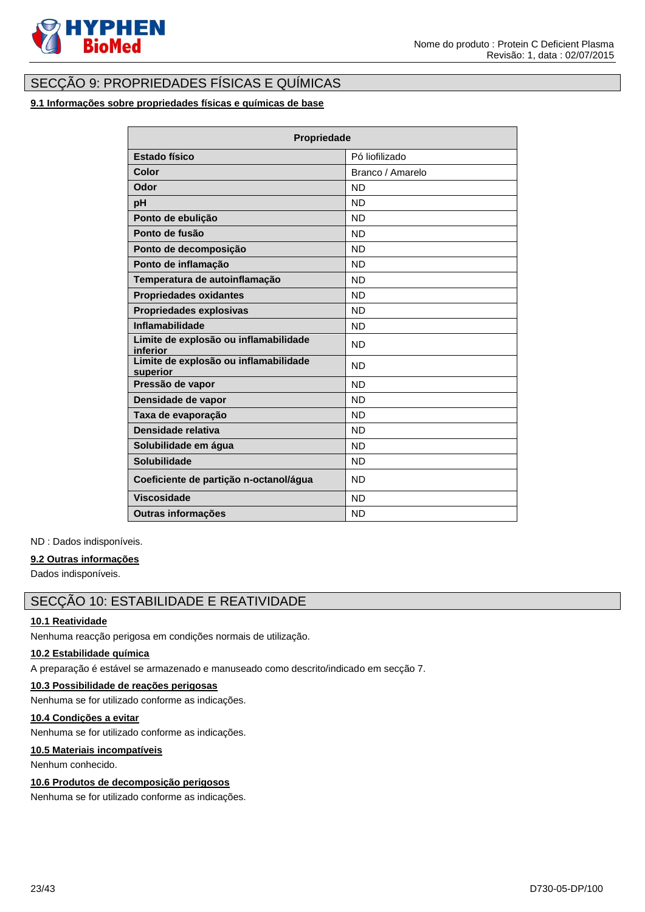

# SECÇÃO 9: PROPRIEDADES FÍSICAS E QUÍMICAS

# **9.1 Informações sobre propriedades físicas e químicas de base**

| <b>Propriedade</b>                                |                  |
|---------------------------------------------------|------------------|
| Estado físico                                     | Pó liofilizado   |
| Color                                             | Branco / Amarelo |
| Odor                                              | <b>ND</b>        |
| pH                                                | <b>ND</b>        |
| Ponto de ebulição                                 | <b>ND</b>        |
| Ponto de fusão                                    | <b>ND</b>        |
| Ponto de decomposição                             | <b>ND</b>        |
| Ponto de inflamação                               | <b>ND</b>        |
| Temperatura de autoinflamação                     | <b>ND</b>        |
| <b>Propriedades oxidantes</b>                     | <b>ND</b>        |
| <b>Propriedades explosivas</b>                    | <b>ND</b>        |
| <b>Inflamabilidade</b>                            | <b>ND</b>        |
| Limite de explosão ou inflamabilidade<br>inferior | <b>ND</b>        |
| Limite de explosão ou inflamabilidade<br>superior | <b>ND</b>        |
| Pressão de vapor                                  | <b>ND</b>        |
| Densidade de vapor                                | <b>ND</b>        |
| Taxa de evaporação                                | <b>ND</b>        |
| Densidade relativa                                | <b>ND</b>        |
| Solubilidade em água                              | <b>ND</b>        |
| Solubilidade                                      | <b>ND</b>        |
| Coeficiente de partição n-octanol/água            | <b>ND</b>        |
| <b>Viscosidade</b>                                | <b>ND</b>        |
| Outras informações                                | <b>ND</b>        |

ND : Dados indisponíveis.

#### **9.2 Outras informações**

Dados indisponíveis.

# SECÇÃO 10: ESTABILIDADE E REATIVIDADE

# **10.1 Reatividade**

Nenhuma reacção perigosa em condições normais de utilização.

#### **10.2 Estabilidade química**

A preparação é estável se armazenado e manuseado como descrito/indicado em secção 7.

#### **10.3 Possibilidade de reações perigosas**

Nenhuma se for utilizado conforme as indicações.

# **10.4 Condições a evitar**

Nenhuma se for utilizado conforme as indicações.

#### **10.5 Materiais incompatíveis**

Nenhum conhecido.

# **10.6 Produtos de decomposição perigosos**

Nenhuma se for utilizado conforme as indicações.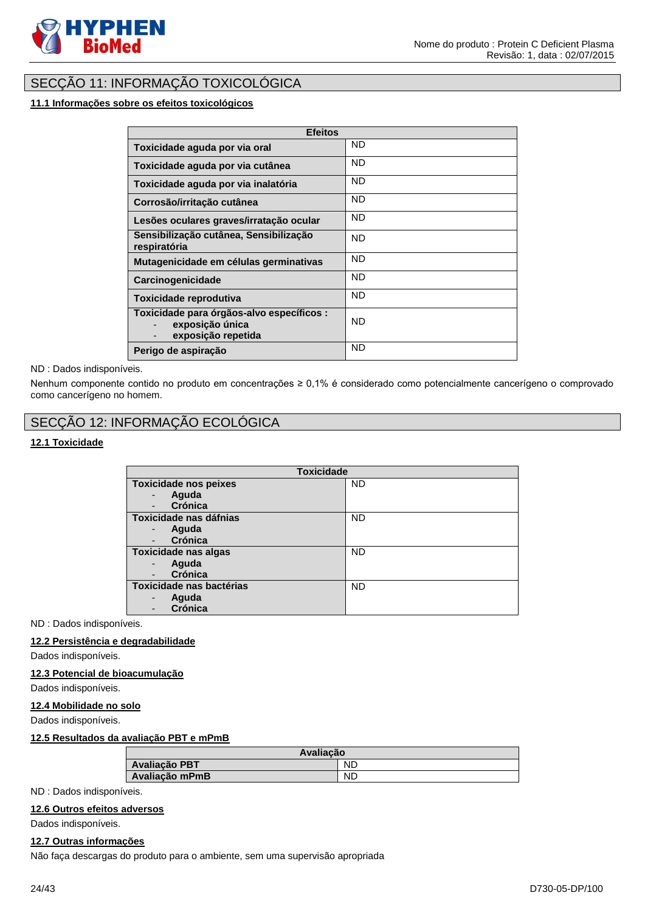

# SECÇÃO 11: INFORMAÇÃO TOXICOLÓGICA

# **11.1 Informações sobre os efeitos toxicológicos**

| <b>Efeitos</b>                                                                     |           |
|------------------------------------------------------------------------------------|-----------|
| Toxicidade aguda por via oral                                                      | <b>ND</b> |
| Toxicidade aguda por via cutânea                                                   | <b>ND</b> |
| Toxicidade aguda por via inalatória                                                | <b>ND</b> |
| Corrosão/irritação cutânea                                                         | <b>ND</b> |
| Lesões oculares graves/irratação ocular                                            | <b>ND</b> |
| Sensibilização cutânea, Sensibilização<br>respiratória                             | <b>ND</b> |
| Mutagenicidade em células germinativas                                             | <b>ND</b> |
| Carcinogenicidade                                                                  | <b>ND</b> |
| Toxicidade reprodutiva                                                             | <b>ND</b> |
| Toxicidade para órgãos-alvo específicos :<br>exposição única<br>exposição repetida | <b>ND</b> |
| Perigo de aspiração                                                                | <b>ND</b> |

ND : Dados indisponíveis.

Nenhum componente contido no produto em concentrações ≥ 0,1% é considerado como potencialmente cancerígeno o comprovado como cancerígeno no homem.

# SECÇÃO 12: INFORMAÇÃO ECOLÓGICA

### **12.1 Toxicidade**

| <b>Toxicidade</b>                       |           |
|-----------------------------------------|-----------|
| <b>Toxicidade nos peixes</b>            | <b>ND</b> |
| Aguda<br>$\qquad \qquad \blacksquare$   |           |
| Crónica<br>$\qquad \qquad \blacksquare$ |           |
| Toxicidade nas dáfnias                  | <b>ND</b> |
| Aguda<br>$\qquad \qquad \blacksquare$   |           |
| Crónica<br>$\qquad \qquad \blacksquare$ |           |
| <b>Toxicidade nas algas</b>             | <b>ND</b> |
| Aguda<br>$\qquad \qquad \blacksquare$   |           |
| Crónica<br>$\qquad \qquad \blacksquare$ |           |
| Toxicidade nas bactérias                | <b>ND</b> |
| Aguda<br>$\qquad \qquad \blacksquare$   |           |
| Crónica<br>$\overline{\phantom{a}}$     |           |

ND : Dados indisponíveis.

### **12.2 Persistência e degradabilidade**

Dados indisponíveis.

#### **12.3 Potencial de bioacumulação**

Dados indisponíveis.

### **12.4 Mobilidade no solo**

Dados indisponíveis.

#### **12.5 Resultados da avaliação PBT e mPmB**

| Avaliação            |           |
|----------------------|-----------|
| <b>Avaliação PBT</b> | <b>ND</b> |
| Avaliação mPmB       | <b>ND</b> |

ND : Dados indisponíveis.

### **12.6 Outros efeitos adversos**

Dados indisponíveis.

#### **12.7 Outras informações**

Não faça descargas do produto para o ambiente, sem uma supervisão apropriada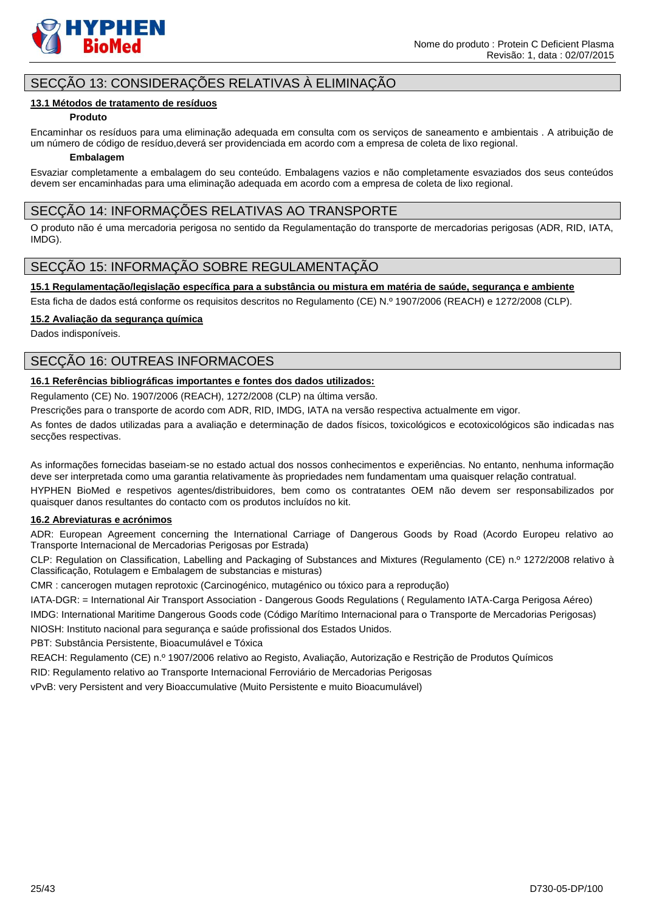

# SECÇÃO 13: CONSIDERAÇÕES RELATIVAS À ELIMINAÇÃO

#### **13.1 Métodos de tratamento de resíduos**

#### **Produto**

Encaminhar os resíduos para uma eliminação adequada em consulta com os serviços de saneamento e ambientais . A atribuição de um número de código de resíduo,deverá ser providenciada em acordo com a empresa de coleta de lixo regional.

#### **Embalagem**

Esvaziar completamente a embalagem do seu conteúdo. Embalagens vazios e não completamente esvaziados dos seus conteúdos devem ser encaminhadas para uma eliminação adequada em acordo com a empresa de coleta de lixo regional.

# SECÇÃO 14: INFORMAÇÕES RELATIVAS AO TRANSPORTE

O produto não é uma mercadoria perigosa no sentido da Regulamentação do transporte de mercadorias perigosas (ADR, RID, IATA, IMDG).

# SECÇÃO 15: INFORMAÇÃO SOBRE REGULAMENTAÇÃO

**15.1 Regulamentação/legislação específica para a substância ou mistura em matéria de saúde, segurança e ambiente**

Esta ficha de dados está conforme os requisitos descritos no Regulamento (CE) N.º 1907/2006 (REACH) e 1272/2008 (CLP).

### **15.2 Avaliação da segurança química**

Dados indisponíveis.

# SECÇÃO 16: OUTREAS INFORMACOES

# **16.1 Referências bibliográficas importantes e fontes dos dados utilizados:**

Regulamento (CE) No. 1907/2006 (REACH), 1272/2008 (CLP) na última versão.

Prescrições para o transporte de acordo com ADR, RID, IMDG, IATA na versão respectiva actualmente em vigor.

As fontes de dados utilizadas para a avaliação e determinação de dados físicos, toxicológicos e ecotoxicológicos são indicadas nas secções respectivas.

As informações fornecidas baseiam-se no estado actual dos nossos conhecimentos e experiências. No entanto, nenhuma informação deve ser interpretada como uma garantia relativamente às propriedades nem fundamentam uma quaisquer relação contratual.

HYPHEN BioMed e respetivos agentes/distribuidores, bem como os contratantes OEM não devem ser responsabilizados por quaisquer danos resultantes do contacto com os produtos incluídos no kit.

### **16.2 Abreviaturas e acrónimos**

ADR: European Agreement concerning the International Carriage of Dangerous Goods by Road (Acordo Europeu relativo ao Transporte Internacional de Mercadorias Perigosas por Estrada)

CLP: Regulation on Classification, Labelling and Packaging of Substances and Mixtures (Regulamento (CE) n.º 1272/2008 relativo à Classificação, Rotulagem e Embalagem de substancias e misturas)

CMR : cancerogen mutagen reprotoxic (Carcinogénico, mutagénico ou tóxico para a reprodução)

IATA-DGR: = International Air Transport Association - Dangerous Goods Regulations ( Regulamento IATA-Carga Perigosa Aéreo)

IMDG: International Maritime Dangerous Goods code (Código Marítimo Internacional para o Transporte de Mercadorias Perigosas) NIOSH: Instituto nacional para segurança e saúde profissional dos Estados Unidos.

PBT: Substância Persistente, Bioacumulável e Tóxica

REACH: Regulamento (CE) n.º 1907/2006 relativo ao Registo, Avaliação, Autorização e Restrição de Produtos Químicos

RID: Regulamento relativo ao Transporte Internacional Ferroviário de Mercadorias Perigosas

vPvB: very Persistent and very Bioaccumulative (Muito Persistente e muito Bioacumulável)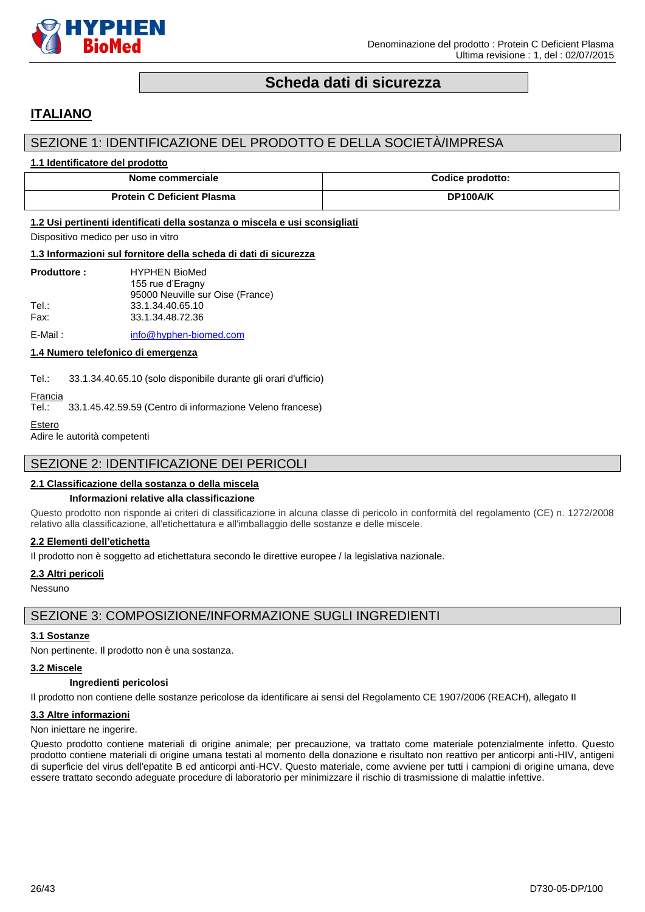

# **Scheda dati di sicurezza**

# <span id="page-25-0"></span>**ITALIANO**

# SEZIONE 1: IDENTIFICAZIONE DEL PRODOTTO E DELLA SOCIETÀ/IMPRESA

#### **1.1 Identificatore del prodotto**

| Nome commerciale                  | Codice prodotto: |
|-----------------------------------|------------------|
| <b>Protein C Deficient Plasma</b> | DP100A/K         |

#### **1.2 Usi pertinenti identificati della sostanza o miscela e usi sconsigliati**

Dispositivo medico per uso in vitro

### **1.3 Informazioni sul fornitore della scheda di dati di sicurezza**

| <b>Produttore:</b> | <b>HYPHEN BioMed</b>             |
|--------------------|----------------------------------|
|                    | 155 rue d'Eragny                 |
|                    | 95000 Neuville sur Oise (France) |
| Tel∴               | 33.1.34.40.65.10                 |
| Fax:               | 33.1.34.48.72.36                 |
|                    |                                  |

E-Mail: [info@hyphen-biomed.com](mailto:info@hyphen-biomed.com)

# **1.4 Numero telefonico di emergenza**

Tel.: 33.1.34.40.65.10 (solo disponibile durante gli orari d'ufficio)

# Francia<br>Tel.:

33.1.45.42.59.59 (Centro di informazione Veleno francese)

```
Estero
```
Adire le autorità competenti

# SEZIONE 2: IDENTIFICAZIONE DEI PERICOLI

### **2.1 Classificazione della sostanza o della miscela**

#### **Informazioni relative alla classificazione**

Questo prodotto non risponde ai criteri di classificazione in alcuna classe di pericolo in conformità del regolamento (CE) n. 1272/2008 relativo alla classificazione, all'etichettatura e all'imballaggio delle sostanze e delle miscele.

### **2.2 Elementi dell'etichetta**

Il prodotto non è soggetto ad etichettatura secondo le direttive europee / la legislativa nazionale.

#### **2.3 Altri pericoli**

Nessuno

# SEZIONE 3: COMPOSIZIONE/INFORMAZIONE SUGLI INGREDIENTI

#### **3.1 Sostanze**

Non pertinente. Il prodotto non è una sostanza.

#### **3.2 Miscele**

# **Ingredienti pericolosi**

Il prodotto non contiene delle sostanze pericolose da identificare ai sensi del Regolamento CE 1907/2006 (REACH), allegato II

# **3.3 Altre informazioni**

#### Non iniettare ne ingerire.

Questo prodotto contiene materiali di origine animale; per precauzione, va trattato come materiale potenzialmente infetto. Questo prodotto contiene materiali di origine umana testati al momento della donazione e risultato non reattivo per anticorpi anti-HIV, antigeni di superficie del virus dell'epatite B ed anticorpi anti-HCV. Questo materiale, come avviene per tutti i campioni di origine umana, deve essere trattato secondo adeguate procedure di laboratorio per minimizzare il rischio di trasmissione di malattie infettive.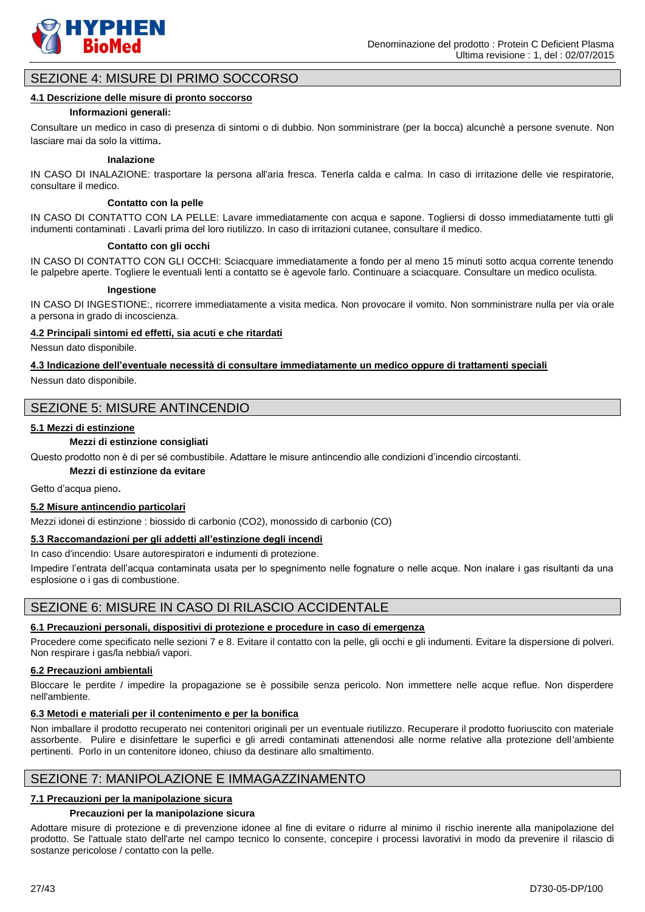

# SEZIONE 4: MISURE DI PRIMO SOCCORSO

### **4.1 Descrizione delle misure di pronto soccorso**

### **Informazioni generali:**

Consultare un medico in caso di presenza di sintomi o di dubbio. Non somministrare (per la bocca) alcunchè a persone svenute. Non lasciare mai da solo la vittima.

#### **Inalazione**

IN CASO DI INALAZIONE: trasportare la persona all'aria fresca. Tenerla calda e calma. In caso di irritazione delle vie respiratorie, consultare il medico.

#### **Contatto con la pelle**

IN CASO DI CONTATTO CON LA PELLE: Lavare immediatamente con acqua e sapone. Togliersi di dosso immediatamente tutti gli indumenti contaminati . Lavarli prima del loro riutilizzo. In caso di irritazioni cutanee, consultare il medico.

#### **Contatto con gli occhi**

IN CASO DI CONTATTO CON GLI OCCHI: Sciacquare immediatamente a fondo per al meno 15 minuti sotto acqua corrente tenendo le palpebre aperte. Togliere le eventuali lenti a contatto se è agevole farlo. Continuare a sciacquare. Consultare un medico oculista.

#### **Ingestione**

IN CASO DI INGESTIONE:, ricorrere immediatamente a visita medica. Non provocare il vomito. Non somministrare nulla per via orale a persona in grado di incoscienza.

#### **4.2 Principali sintomi ed effetti, sia acuti e che ritardati**

Nessun dato disponibile.

**4.3 Indicazione dell'eventuale necessità di consultare immediatamente un medico oppure di trattamenti speciali** Nessun dato disponibile.

# SEZIONE 5: MISURE ANTINCENDIO

#### **5.1 Mezzi di estinzione**

#### **Mezzi di estinzione consigliati**

Questo prodotto non è di per sé combustibile. Adattare le misure antincendio alle condizioni d'incendio circostanti.

# **Mezzi di estinzione da evitare**

Getto d'acqua pieno.

#### **5.2 Misure antincendio particolari**

Mezzi idonei di estinzione : biossido di carbonio (CO2), monossido di carbonio (CO)

# **5.3 Raccomandazioni per gli addetti all'estinzione degli incendi**

In caso d'incendio: Usare autorespiratori e indumenti di protezione.

Impedire l'entrata dell'acqua contaminata usata per lo spegnimento nelle fognature o nelle acque. Non inalare i gas risultanti da una esplosione o i gas di combustione.

# SEZIONE 6: MISURE IN CASO DI RILASCIO ACCIDENTALE

#### **6.1 Precauzioni personali, dispositivi di protezione e procedure in caso di emergenza**

Procedere come specificato nelle sezioni 7 e 8. Evitare il contatto con la pelle, gli occhi e gli indumenti. Evitare la dispersione di polveri. Non respirare i gas/la nebbia/i vapori.

#### **6.2 Precauzioni ambientali**

Bloccare le perdite / impedire la propagazione se è possibile senza pericolo. Non immettere nelle acque reflue. Non disperdere nell'ambiente.

#### **6.3 Metodi e materiali per il contenimento e per la bonifica**

Non imballare il prodotto recuperato nei contenitori originali per un eventuale riutilizzo. Recuperare il prodotto fuoriuscito con materiale assorbente. Pulire e disinfettare le superfici e gli arredi contaminati attenendosi alle norme relative alla protezione dell'ambiente pertinenti. Porlo in un contenitore idoneo, chiuso da destinare allo smaltimento.

# SEZIONE 7: MANIPOLAZIONE E IMMAGAZZINAMENTO

### **7.1 Precauzioni per la manipolazione sicura**

#### **Precauzioni per la manipolazione sicura**

Adottare misure di protezione e di prevenzione idonee al fine di evitare o ridurre al minimo il rischio inerente alla manipolazione del prodotto. Se l'attuale stato dell'arte nel campo tecnico lo consente, concepire i processi lavorativi in modo da prevenire il rilascio di sostanze pericolose / contatto con la pelle.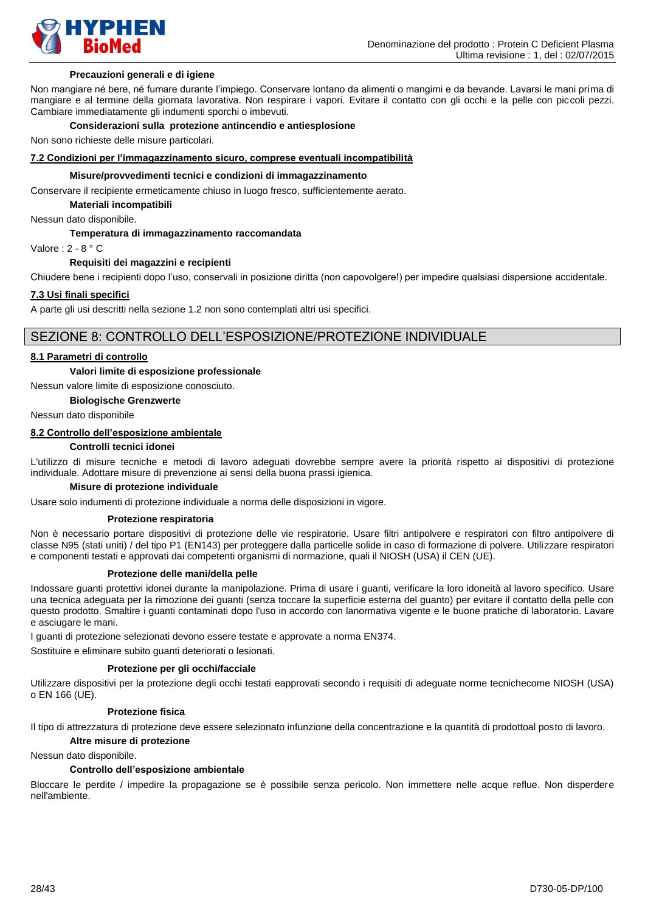

#### **Precauzioni generali e di igiene**

Non mangiare né bere, né fumare durante l'impiego. Conservare lontano da alimenti o mangimi e da bevande. Lavarsi le mani prima di mangiare e al termine della giornata lavorativa. Non respirare i vapori. Evitare il contatto con gli occhi e la pelle con piccoli pezzi. Cambiare immediatamente gli indumenti sporchi o imbevuti.

#### **Considerazioni sulla protezione antincendio e antiesplosione**

Non sono richieste delle misure particolari.

#### **7.2 Condizioni per l'immagazzinamento sicuro, comprese eventuali incompatibilità**

#### **Misure/provvedimenti tecnici e condizioni di immagazzinamento**

Conservare il recipiente ermeticamente chiuso in luogo fresco, sufficientemente aerato.

**Materiali incompatibili**

Nessun dato disponibile.

#### **Temperatura di immagazzinamento raccomandata**

Valore : 2 - 8 ° C

#### **Requisiti dei magazzini e recipienti**

Chiudere bene i recipienti dopo l'uso, conservali in posizione diritta (non capovolgere!) per impedire qualsiasi dispersione accidentale.

#### **7.3 Usi finali specifici**

A parte gli usi descritti nella sezione 1.2 non sono contemplati altri usi specifici.

# SEZIONE 8: CONTROLLO DELL'ESPOSIZIONE/PROTEZIONE INDIVIDUALE

#### **8.1 Parametri di controllo**

#### **Valori limite di esposizione professionale**

Nessun valore limite di esposizione conosciuto.

# **Biologische Grenzwerte**

Nessun dato disponibile

# **8.2 Controllo dell'esposizione ambientale**

#### **Controlli tecnici idonei**

L'utilizzo di misure tecniche e metodi di lavoro adeguati dovrebbe sempre avere la priorità rispetto ai dispositivi di protezione individuale. Adottare misure di prevenzione ai sensi della buona prassi igienica.

### **Misure di protezione individuale**

Usare solo indumenti di protezione individuale a norma delle disposizioni in vigore.

#### **Protezione respiratoria**

Non è necessario portare dispositivi di protezione delle vie respiratorie. Usare filtri antipolvere e respiratori con filtro antipolvere di classe N95 (stati uniti) / del tipo P1 (EN143) per proteggere dalla particelle solide in caso di formazione di polvere. Utilizzare respiratori e componenti testati e approvati dai competenti organismi di normazione, quali il NIOSH (USA) il CEN (UE).

#### **Protezione delle mani/della pelle**

Indossare guanti protettivi idonei durante la manipolazione. Prima di usare i guanti, verificare la loro idoneità al lavoro specifico. Usare una tecnica adeguata per la rimozione dei guanti (senza toccare la superficie esterna del guanto) per evitare il contatto della pelle con questo prodotto. Smaltire i guanti contaminati dopo l'uso in accordo con lanormativa vigente e le buone pratiche di laboratorio. Lavare e asciugare le mani.

I guanti di protezione selezionati devono essere testate e approvate a norma EN374.

Sostituire e eliminare subito guanti deteriorati o lesionati.

#### **Protezione per gli occhi/facciale**

Utilizzare dispositivi per la protezione degli occhi testati eapprovati secondo i requisiti di adeguate norme tecnichecome NIOSH (USA) o EN 166 (UE).

#### **Protezione fisica**

Il tipo di attrezzatura di protezione deve essere selezionato infunzione della concentrazione e la quantità di prodottoal posto di lavoro.

### **Altre misure di protezione**

#### Nessun dato disponibile.

#### **Controllo dell'esposizione ambientale**

Bloccare le perdite / impedire la propagazione se è possibile senza pericolo. Non immettere nelle acque reflue. Non disperdere nell'ambiente.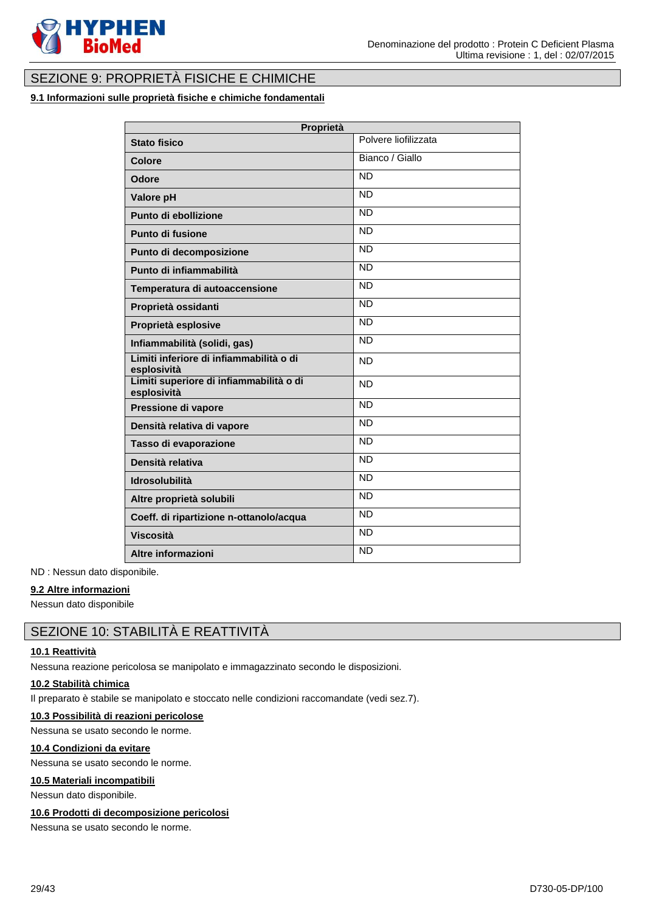

# SEZIONE 9: PROPRIETÀ FISICHE E CHIMICHE

# **9.1 Informazioni sulle proprietà fisiche e chimiche fondamentali**

| Proprietà                                              |                      |  |
|--------------------------------------------------------|----------------------|--|
| <b>Stato fisico</b>                                    | Polvere liofilizzata |  |
| <b>Colore</b>                                          | Bianco / Giallo      |  |
| <b>Odore</b>                                           | <b>ND</b>            |  |
| Valore pH                                              | <b>ND</b>            |  |
| Punto di ebollizione                                   | <b>ND</b>            |  |
| Punto di fusione                                       | <b>ND</b>            |  |
| Punto di decomposizione                                | <b>ND</b>            |  |
| Punto di infiammabilità                                | <b>ND</b>            |  |
| Temperatura di autoaccensione                          | <b>ND</b>            |  |
| Proprietà ossidanti                                    | <b>ND</b>            |  |
| Proprietà esplosive                                    | <b>ND</b>            |  |
| Infiammabilità (solidi, gas)                           | <b>ND</b>            |  |
| Limiti inferiore di infiammabilità o di<br>esplosività | <b>ND</b>            |  |
| Limiti superiore di infiammabilità o di<br>esplosività | <b>ND</b>            |  |
| Pressione di vapore                                    | <b>ND</b>            |  |
| Densità relativa di vapore                             | <b>ND</b>            |  |
| Tasso di evaporazione                                  | <b>ND</b>            |  |
| Densità relativa                                       | <b>ND</b>            |  |
| <b>Idrosolubilità</b>                                  | <b>ND</b>            |  |
| Altre proprietà solubili                               | <b>ND</b>            |  |
| Coeff. di ripartizione n-ottanolo/acqua                | <b>ND</b>            |  |
| <b>Viscosità</b>                                       | <b>ND</b>            |  |
| Altre informazioni                                     | <b>ND</b>            |  |

ND : Nessun dato disponibile.

# **9.2 Altre informazioni**

Nessun dato disponibile

# SEZIONE 10: STABILITÀ E REATTIVITÀ

#### **10.1 Reattività**

Nessuna reazione pericolosa se manipolato e immagazzinato secondo le disposizioni.

# **10.2 Stabilità chimica**

Il preparato è stabile se manipolato e stoccato nelle condizioni raccomandate (vedi sez.7).

# **10.3 Possibilità di reazioni pericolose**

Nessuna se usato secondo le norme.

# **10.4 Condizioni da evitare**

Nessuna se usato secondo le norme.

#### **10.5 Materiali incompatibili**

Nessun dato disponibile.

#### **10.6 Prodotti di decomposizione pericolosi**

Nessuna se usato secondo le norme.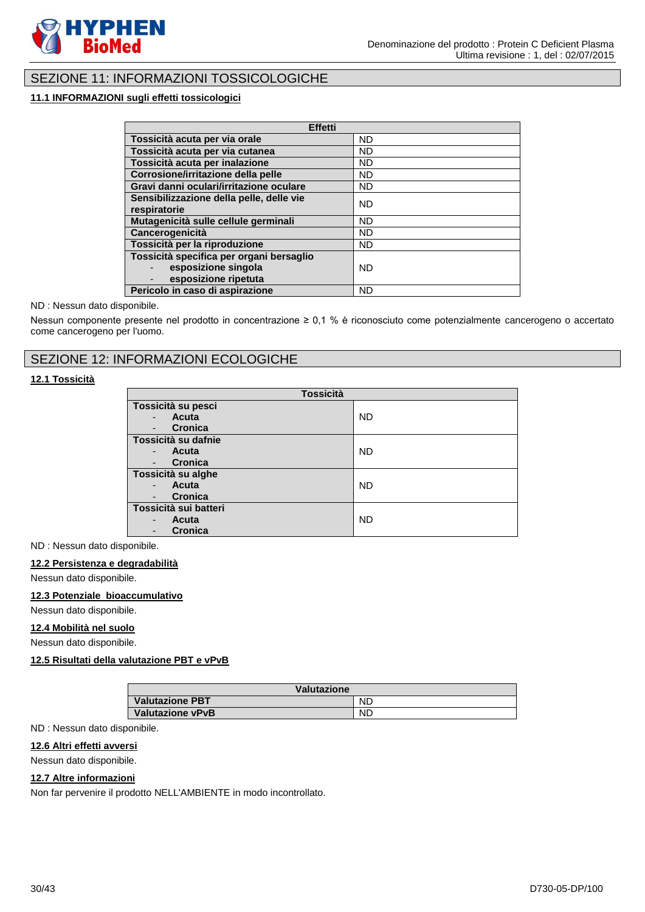

# SEZIONE 11: INFORMAZIONI TOSSICOLOGICHE

# **11.1 INFORMAZIONI sugli effetti tossicologici**

| <b>Effetti</b>                                                                          |           |
|-----------------------------------------------------------------------------------------|-----------|
| Tossicità acuta per via orale                                                           | <b>ND</b> |
| Tossicità acuta per via cutanea                                                         | <b>ND</b> |
| Tossicità acuta per inalazione                                                          | <b>ND</b> |
| Corrosione/irritazione della pelle                                                      | <b>ND</b> |
| Gravi danni oculari/irritazione oculare                                                 | ND.       |
| Sensibilizzazione della pelle, delle vie<br>respiratorie                                | <b>ND</b> |
| Mutagenicità sulle cellule germinali                                                    | <b>ND</b> |
| Cancerogenicità                                                                         | <b>ND</b> |
| Tossicità per la riproduzione                                                           | <b>ND</b> |
| Tossicità specifica per organi bersaglio<br>esposizione singola<br>esposizione ripetuta | <b>ND</b> |
| Pericolo in caso di aspirazione                                                         | <b>ND</b> |

#### ND : Nessun dato disponibile.

Nessun componente presente nel prodotto in concentrazione ≥ 0,1 % è riconosciuto come potenzialmente cancerogeno o accertato come cancerogeno per l'uomo.

# SEZIONE 12: INFORMAZIONI ECOLOGICHE

# **12.1 Tossicità**

| <b>Tossicità</b>                  |           |
|-----------------------------------|-----------|
| Tossicità su pesci                |           |
| Acuta<br>$\blacksquare$           | <b>ND</b> |
| <b>Cronica</b><br>$\blacksquare$  |           |
| Tossicità su dafnie               |           |
| Acuta<br>$\overline{\phantom{a}}$ | <b>ND</b> |
| <b>Cronica</b><br>$\blacksquare$  |           |
| Tossicità su alghe                |           |
| Acuta<br>$\overline{\phantom{a}}$ | <b>ND</b> |
| Cronica<br>$\blacksquare$         |           |
| Tossicità sui batteri             |           |
| Acuta                             | <b>ND</b> |
| <b>Cronica</b><br>-               |           |

#### ND : Nessun dato disponibile.

#### **12.2 Persistenza e degradabilità**

Nessun dato disponibile.

#### **12.3 Potenziale bioaccumulativo**

Nessun dato disponibile.

### **12.4 Mobilità nel suolo**

Nessun dato disponibile.

# **12.5 Risultati della valutazione PBT e vPvB**

| Valutazione            |           |
|------------------------|-----------|
| <b>Valutazione PBT</b> | <b>ND</b> |
| Valutazione vPvB       | <b>ND</b> |

ND : Nessun dato disponibile.

### **12.6 Altri effetti avversi**

Nessun dato disponibile.

# **12.7 Altre informazioni**

Non far pervenire il prodotto NELL'AMBIENTE in modo incontrollato.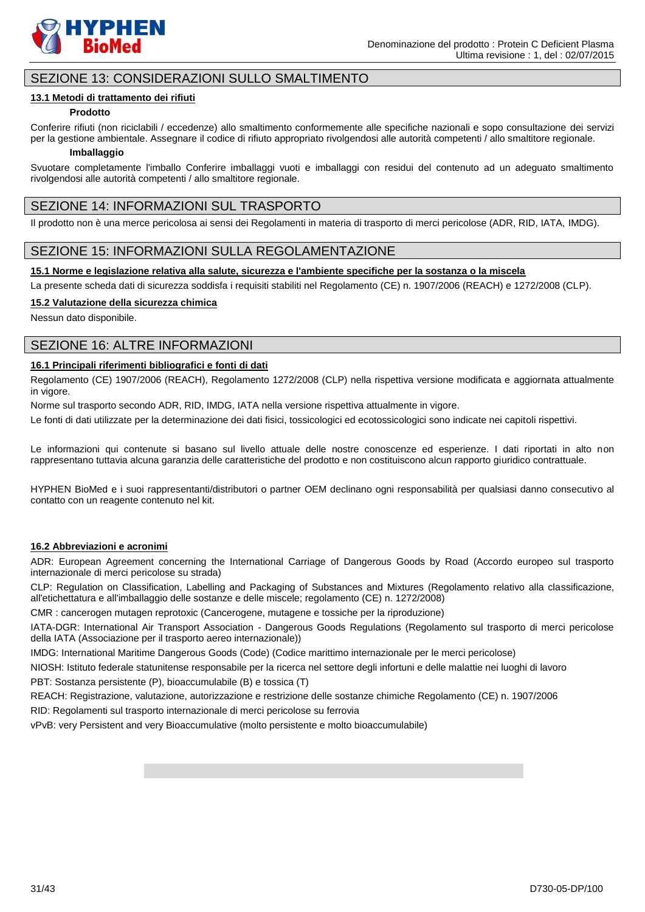

# SEZIONE 13: CONSIDERAZIONI SULLO SMALTIMENTO

# **13.1 Metodi di trattamento dei rifiuti**

# **Prodotto**

Conferire rifiuti (non riciclabili / eccedenze) allo smaltimento conformemente alle specifiche nazionali e sopo consultazione dei servizi per la gestione ambientale. Assegnare il codice di rifiuto appropriato rivolgendosi alle autorità competenti / allo smaltitore regionale.

#### **Imballaggio**

Svuotare completamente l'imballo Conferire imballaggi vuoti e imballaggi con residui del contenuto ad un adeguato smaltimento rivolgendosi alle autorità competenti / allo smaltitore regionale.

# SEZIONE 14: INFORMAZIONI SUL TRASPORTO

Il prodotto non è una merce pericolosa ai sensi dei Regolamenti in materia di trasporto di merci pericolose (ADR, RID, IATA, IMDG).

# SEZIONE 15: INFORMAZIONI SULLA REGOLAMENTAZIONE

### **15.1 Norme e legislazione relativa alla salute, sicurezza e l'ambiente specifiche per la sostanza o la miscela**

La presente scheda dati di sicurezza soddisfa i requisiti stabiliti nel Regolamento (CE) n. 1907/2006 (REACH) e 1272/2008 (CLP).

# **15.2 Valutazione della sicurezza chimica**

Nessun dato disponibile.

# SEZIONE 16: ALTRE INFORMAZIONI

# **16.1 Principali riferimenti bibliografici e fonti di dati**

Regolamento (CE) 1907/2006 (REACH), Regolamento 1272/2008 (CLP) nella rispettiva versione modificata e aggiornata attualmente in vigore.

Norme sul trasporto secondo ADR, RID, IMDG, IATA nella versione rispettiva attualmente in vigore.

Le fonti di dati utilizzate per la determinazione dei dati fisici, tossicologici ed ecotossicologici sono indicate nei capitoli rispettivi.

Le informazioni qui contenute si basano sul livello attuale delle nostre conoscenze ed esperienze. I dati riportati in alto non rappresentano tuttavia alcuna garanzia delle caratteristiche del prodotto e non costituiscono alcun rapporto giuridico contrattuale.

HYPHEN BioMed e i suoi rappresentanti/distributori o partner OEM declinano ogni responsabilità per qualsiasi danno consecutivo al contatto con un reagente contenuto nel kit.

### **16.2 Abbreviazioni e acronimi**

ADR: European Agreement concerning the International Carriage of Dangerous Goods by Road (Accordo europeo sul trasporto internazionale di merci pericolose su strada)

CLP: Regulation on Classification, Labelling and Packaging of Substances and Mixtures (Regolamento relativo alla classificazione, all'etichettatura e all'imballaggio delle sostanze e delle miscele; regolamento (CE) n. 1272/2008)

CMR : cancerogen mutagen reprotoxic (Cancerogene, mutagene e tossiche per la riproduzione)

IATA-DGR: International Air Transport Association - Dangerous Goods Regulations (Regolamento sul trasporto di merci pericolose della IATA (Associazione per il trasporto aereo internazionale))

IMDG: International Maritime Dangerous Goods (Code) (Codice marittimo internazionale per le merci pericolose)

NIOSH: Istituto federale statunitense responsabile per la ricerca nel settore degli infortuni e delle malattie nei luoghi di lavoro

PBT: Sostanza persistente (P), bioaccumulabile (B) e tossica (T)

REACH: Registrazione, valutazione, autorizzazione e restrizione delle sostanze chimiche Regolamento (CE) n. 1907/2006

RID: Regolamenti sul trasporto internazionale di merci pericolose su ferrovia

vPvB: very Persistent and very Bioaccumulative (molto persistente e molto bioaccumulabile)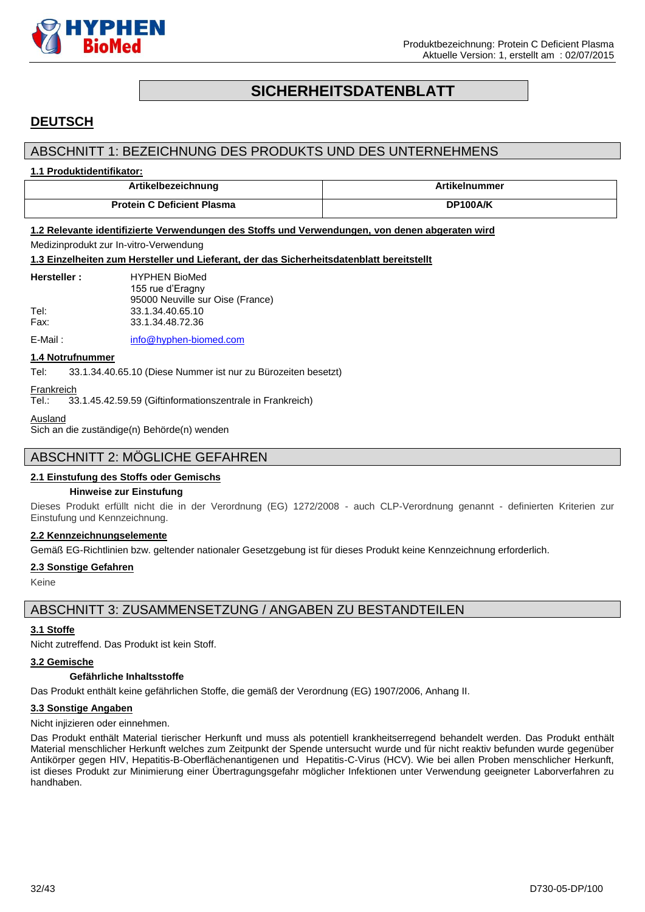

# **SICHERHEITSDATENBLATT**

# <span id="page-31-0"></span>**DEUTSCH**

# ABSCHNITT 1: BEZEICHNUNG DES PRODUKTS UND DES UNTERNEHMENS

### **1.1 Produktidentifikator:**

| Artikelbezeichnung                | Artikelnummer |
|-----------------------------------|---------------|
| <b>Protein C Deficient Plasma</b> | DP100A/K      |

# **1.2 Relevante identifizierte Verwendungen des Stoffs und Verwendungen, von denen abgeraten wird**

# Medizinprodukt zur In-vitro-Verwendung

**1.3 Einzelheiten zum Hersteller und Lieferant, der das Sicherheitsdatenblatt bereitstellt**

| <b>Hersteller:</b> | <b>HYPHEN BioMed</b>             |
|--------------------|----------------------------------|
|                    | 155 rue d'Eragny                 |
|                    | 95000 Neuville sur Oise (France) |
| Tel:               | 33.1.34.40.65.10                 |
| Fax:               | 33.1.34.48.72.36                 |
|                    |                                  |

E-Mail: [info@hyphen-biomed.com](mailto:info@hyphen-biomed.com)

#### **1.4 Notrufnummer**

Tel: 33.1.34.40.65.10 (Diese Nummer ist nur zu Bürozeiten besetzt)

Frankreich

Tel.: 33.1.45.42.59.59 (Giftinformationszentrale in Frankreich)

Ausland

Sich an die zuständige(n) Behörde(n) wenden

# ABSCHNITT 2: MÖGLICHE GEFAHREN

### **2.1 Einstufung des Stoffs oder Gemischs**

#### **Hinweise zur Einstufung**

Dieses Produkt erfüllt nicht die in der Verordnung (EG) 1272/2008 - auch CLP-Verordnung genannt - definierten Kriterien zur Einstufung und Kennzeichnung.

### **2.2 Kennzeichnungselemente**

Gemäß EG-Richtlinien bzw. geltender nationaler Gesetzgebung ist für dieses Produkt keine Kennzeichnung erforderlich.

#### **2.3 Sonstige Gefahren**

Keine

# ABSCHNITT 3: ZUSAMMENSETZUNG / ANGABEN ZU BESTANDTEILEN

### **3.1 Stoffe**

Nicht zutreffend. Das Produkt ist kein Stoff.

#### **3.2 Gemische**

### **Gefährliche Inhaltsstoffe**

Das Produkt enthält keine gefährlichen Stoffe, die gemäß der Verordnung (EG) 1907/2006, Anhang II.

### **3.3 Sonstige Angaben**

Nicht injizieren oder einnehmen.

Das Produkt enthält Material tierischer Herkunft und muss als potentiell krankheitserregend behandelt werden. Das Produkt enthält Material menschlicher Herkunft welches zum Zeitpunkt der Spende untersucht wurde und für nicht reaktiv befunden wurde gegenüber Antikörper gegen HIV, Hepatitis-B-Oberflächenantigenen und Hepatitis-C-Virus (HCV). Wie bei allen Proben menschlicher Herkunft, ist dieses Produkt zur Minimierung einer Übertragungsgefahr möglicher Infektionen unter Verwendung geeigneter Laborverfahren zu handhaben.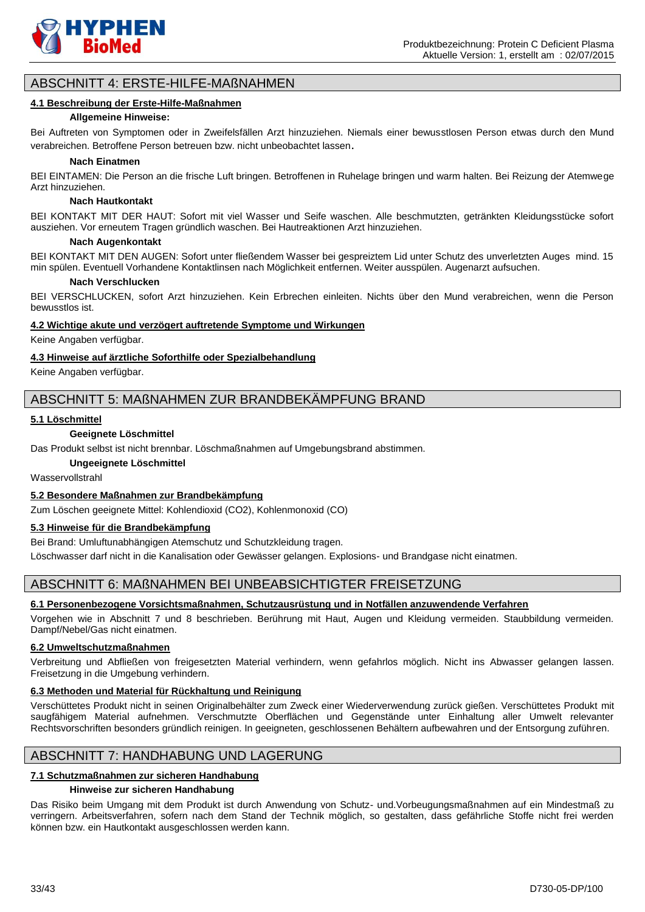

# ABSCHNITT 4: ERSTE-HILFE-MAßNAHMEN

#### **4.1 Beschreibung der Erste-Hilfe-Maßnahmen**

#### **Allgemeine Hinweise:**

Bei Auftreten von Symptomen oder in Zweifelsfällen Arzt hinzuziehen. Niemals einer bewusstlosen Person etwas durch den Mund verabreichen. Betroffene Person betreuen bzw. nicht unbeobachtet lassen.

#### **Nach Einatmen**

BEI EINTAMEN: Die Person an die frische Luft bringen. Betroffenen in Ruhelage bringen und warm halten. Bei Reizung der Atemwege Arzt hinzuziehen.

#### **Nach Hautkontakt**

BEI KONTAKT MIT DER HAUT: Sofort mit viel Wasser und Seife waschen. Alle beschmutzten, getränkten Kleidungsstücke sofort ausziehen. Vor erneutem Tragen gründlich waschen. Bei Hautreaktionen Arzt hinzuziehen.

#### **Nach Augenkontakt**

BEI KONTAKT MIT DEN AUGEN: Sofort unter fließendem Wasser bei gespreiztem Lid unter Schutz des unverletzten Auges mind. 15 min spülen. Eventuell Vorhandene Kontaktlinsen nach Möglichkeit entfernen. Weiter ausspülen. Augenarzt aufsuchen.

#### **Nach Verschlucken**

BEI VERSCHLUCKEN, sofort Arzt hinzuziehen. Kein Erbrechen einleiten. Nichts über den Mund verabreichen, wenn die Person bewusstlos ist.

#### **4.2 Wichtige akute und verzögert auftretende Symptome und Wirkungen**

Keine Angaben verfügbar.

### **4.3 Hinweise auf ärztliche Soforthilfe oder Spezialbehandlung**

Keine Angaben verfügbar.

# ABSCHNITT 5: MAßNAHMEN ZUR BRANDBEKÄMPFUNG BRAND

#### **5.1 Löschmittel**

#### **Geeignete Löschmittel**

Das Produkt selbst ist nicht brennbar. Löschmaßnahmen auf Umgebungsbrand abstimmen.

### **Ungeeignete Löschmittel**

Wasservollstrahl

### **5.2 Besondere Maßnahmen zur Brandbekämpfung**

Zum Löschen geeignete Mittel: Kohlendioxid (CO2), Kohlenmonoxid (CO)

# **5.3 Hinweise für die Brandbekämpfung**

Bei Brand: Umluftunabhängigen Atemschutz und Schutzkleidung tragen.

Löschwasser darf nicht in die Kanalisation oder Gewässer gelangen. Explosions- und Brandgase nicht einatmen.

# ABSCHNITT 6: MAßNAHMEN BEI UNBEABSICHTIGTER FREISETZUNG

### **6.1 Personenbezogene Vorsichtsmaßnahmen, Schutzausrüstung und in Notfällen anzuwendende Verfahren**

Vorgehen wie in Abschnitt 7 und 8 beschrieben. Berührung mit Haut, Augen und Kleidung vermeiden. Staubbildung vermeiden. Dampf/Nebel/Gas nicht einatmen.

#### **6.2 Umweltschutzmaßnahmen**

Verbreitung und Abfließen von freigesetzten Material verhindern, wenn gefahrlos möglich. Nicht ins Abwasser gelangen lassen. Freisetzung in die Umgebung verhindern.

### **6.3 Methoden und Material für Rückhaltung und Reinigung**

Verschüttetes Produkt nicht in seinen Originalbehälter zum Zweck einer Wiederverwendung zurück gießen. Verschüttetes Produkt mit saugfähigem Material aufnehmen. Verschmutzte Oberflächen und Gegenstände unter Einhaltung aller Umwelt relevanter Rechtsvorschriften besonders gründlich reinigen. In geeigneten, geschlossenen Behältern aufbewahren und der Entsorgung zuführen.

# ABSCHNITT 7: HANDHABUNG UND LAGERUNG

# **7.1 Schutzmaßnahmen zur sicheren Handhabung**

# **Hinweise zur sicheren Handhabung**

Das Risiko beim Umgang mit dem Produkt ist durch Anwendung von Schutz- und.Vorbeugungsmaßnahmen auf ein Mindestmaß zu verringern. Arbeitsverfahren, sofern nach dem Stand der Technik möglich, so gestalten, dass gefährliche Stoffe nicht frei werden können bzw. ein Hautkontakt ausgeschlossen werden kann.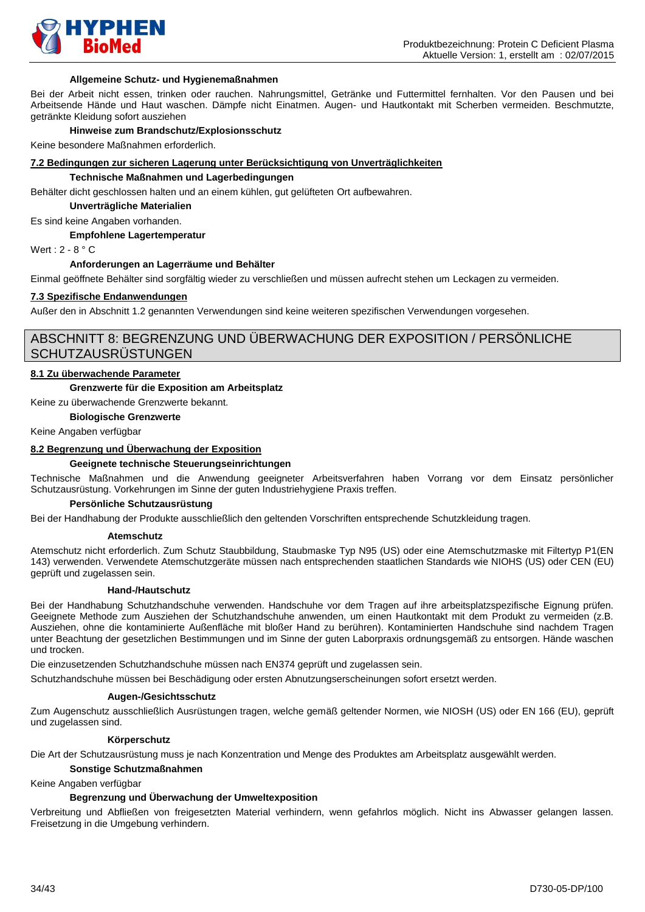

#### **Allgemeine Schutz- und Hygienemaßnahmen**

Bei der Arbeit nicht essen, trinken oder rauchen. Nahrungsmittel, Getränke und Futtermittel fernhalten. Vor den Pausen und bei Arbeitsende Hände und Haut waschen. Dämpfe nicht Einatmen. Augen- und Hautkontakt mit Scherben vermeiden. Beschmutzte, getränkte Kleidung sofort ausziehen

#### **Hinweise zum Brandschutz/Explosionsschutz**

Keine besondere Maßnahmen erforderlich.

#### **7.2 Bedingungen zur sicheren Lagerung unter Berücksichtigung von Unverträglichkeiten**

#### **Technische Maßnahmen und Lagerbedingungen**

Behälter dicht geschlossen halten und an einem kühlen, gut gelüfteten Ort aufbewahren.

**Unverträgliche Materialien**

Es sind keine Angaben vorhanden.

#### **Empfohlene Lagertemperatur**

Wert : 2 - 8 ° C

#### **Anforderungen an Lagerräume und Behälter**

Einmal geöffnete Behälter sind sorgfältig wieder zu verschließen und müssen aufrecht stehen um Leckagen zu vermeiden.

# **7.3 Spezifische Endanwendungen**

Außer den in Abschnitt 1.2 genannten Verwendungen sind keine weiteren spezifischen Verwendungen vorgesehen.

# ABSCHNITT 8: BEGRENZUNG UND ÜBERWACHUNG DER EXPOSITION / PERSÖNLICHE **SCHUTZAUSRÜSTUNGEN**

#### **8.1 Zu überwachende Parameter**

#### **Grenzwerte für die Exposition am Arbeitsplatz**

Keine zu überwachende Grenzwerte bekannt.

### **Biologische Grenzwerte**

Keine Angaben verfügbar

### **8.2 Begrenzung und Überwachung der Exposition**

#### **Geeignete technische Steuerungseinrichtungen**

Technische Maßnahmen und die Anwendung geeigneter Arbeitsverfahren haben Vorrang vor dem Einsatz persönlicher Schutzausrüstung. Vorkehrungen im Sinne der guten Industriehygiene Praxis treffen.

#### **Persönliche Schutzausrüstung**

Bei der Handhabung der Produkte ausschließlich den geltenden Vorschriften entsprechende Schutzkleidung tragen.

#### **Atemschutz**

Atemschutz nicht erforderlich. Zum Schutz Staubbildung, Staubmaske Typ N95 (US) oder eine Atemschutzmaske mit Filtertyp P1(EN 143) verwenden. Verwendete Atemschutzgeräte müssen nach entsprechenden staatlichen Standards wie NIOHS (US) oder CEN (EU) geprüft und zugelassen sein.

#### **Hand-/Hautschutz**

Bei der Handhabung Schutzhandschuhe verwenden. Handschuhe vor dem Tragen auf ihre arbeitsplatzspezifische Eignung prüfen. Geeignete Methode zum Ausziehen der Schutzhandschuhe anwenden, um einen Hautkontakt mit dem Produkt zu vermeiden (z.B. Ausziehen, ohne die kontaminierte Außenfläche mit bloßer Hand zu berühren). Kontaminierten Handschuhe sind nachdem Tragen unter Beachtung der gesetzlichen Bestimmungen und im Sinne der guten Laborpraxis ordnungsgemäß zu entsorgen. Hände waschen und trocken.

Die einzusetzenden Schutzhandschuhe müssen nach EN374 geprüft und zugelassen sein.

Schutzhandschuhe müssen bei Beschädigung oder ersten Abnutzungserscheinungen sofort ersetzt werden.

#### **Augen-/Gesichtsschutz**

Zum Augenschutz ausschließlich Ausrüstungen tragen, welche gemäß geltender Normen, wie NIOSH (US) oder EN 166 (EU), geprüft und zugelassen sind.

#### **Körperschutz**

Die Art der Schutzausrüstung muss je nach Konzentration und Menge des Produktes am Arbeitsplatz ausgewählt werden.

#### **Sonstige Schutzmaßnahmen**

Keine Angaben verfügbar

#### **Begrenzung und Überwachung der Umweltexposition**

Verbreitung und Abfließen von freigesetzten Material verhindern, wenn gefahrlos möglich. Nicht ins Abwasser gelangen lassen. Freisetzung in die Umgebung verhindern.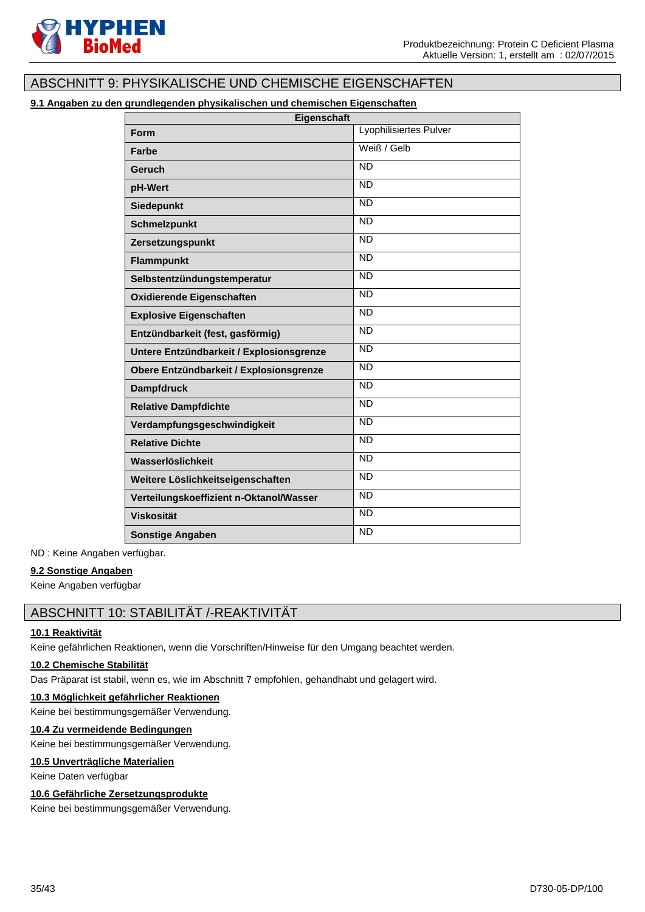

# ABSCHNITT 9: PHYSIKALISCHE UND CHEMISCHE EIGENSCHAFTEN

# **9.1 Angaben zu den grundlegenden physikalischen und chemischen Eigenschaften**

| Eigenschaft                              |                        |
|------------------------------------------|------------------------|
| <b>Form</b>                              | Lyophilisiertes Pulver |
| Farbe                                    | Weiß / Gelb            |
| Geruch                                   | <b>ND</b>              |
| pH-Wert                                  | <b>ND</b>              |
| <b>Siedepunkt</b>                        | <b>ND</b>              |
| <b>Schmelzpunkt</b>                      | <b>ND</b>              |
| Zersetzungspunkt                         | <b>ND</b>              |
| Flammpunkt                               | <b>ND</b>              |
| Selbstentzündungstemperatur              | <b>ND</b>              |
| Oxidierende Eigenschaften                | <b>ND</b>              |
| <b>Explosive Eigenschaften</b>           | <b>ND</b>              |
| Entzündbarkeit (fest, gasförmig)         | <b>ND</b>              |
| Untere Entzündbarkeit / Explosionsgrenze | <b>ND</b>              |
| Obere Entzündbarkeit / Explosionsgrenze  | <b>ND</b>              |
| <b>Dampfdruck</b>                        | <b>ND</b>              |
| <b>Relative Dampfdichte</b>              | <b>ND</b>              |
| Verdampfungsgeschwindigkeit              | <b>ND</b>              |
| <b>Relative Dichte</b>                   | <b>ND</b>              |
| Wasserlöslichkeit                        | <b>ND</b>              |
| Weitere Löslichkeitseigenschaften        | <b>ND</b>              |
| Verteilungskoeffizient n-Oktanol/Wasser  | <b>ND</b>              |
| <b>Viskosität</b>                        | <b>ND</b>              |
| <b>Sonstige Angaben</b>                  | <b>ND</b>              |

ND : Keine Angaben verfügbar.

#### **9.2 Sonstige Angaben**

Keine Angaben verfügbar

# ABSCHNITT 10: STABILITÄT /-REAKTIVITÄT

### **10.1 Reaktivität**

Keine gefährlichen Reaktionen, wenn die Vorschriften/Hinweise für den Umgang beachtet werden.

### **10.2 Chemische Stabilität**

Das Präparat ist stabil, wenn es, wie im Abschnitt 7 empfohlen, gehandhabt und gelagert wird.

#### **10.3 Möglichkeit gefährlicher Reaktionen**

Keine bei bestimmungsgemäßer Verwendung.

### **10.4 Zu vermeidende Bedingungen**

Keine bei bestimmungsgemäßer Verwendung.

### **10.5 Unverträgliche Materialien**

Keine Daten verfügbar

## **10.6 Gefährliche Zersetzungsprodukte**

Keine bei bestimmungsgemäßer Verwendung.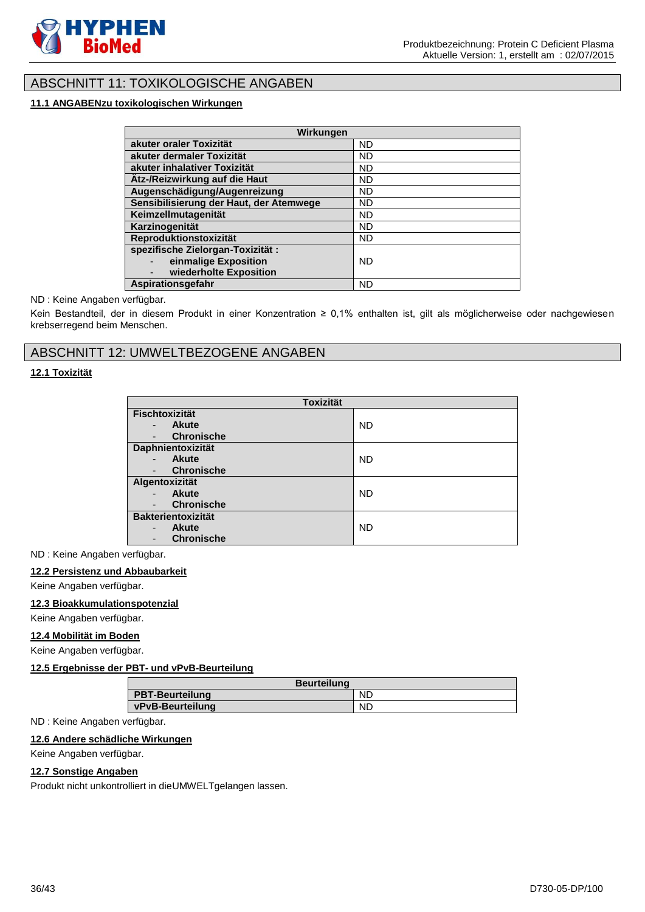

# ABSCHNITT 11: TOXIKOLOGISCHE ANGABEN

# **11.1 ANGABENzu toxikologischen Wirkungen**

| Wirkungen                                          |           |
|----------------------------------------------------|-----------|
| akuter oraler Toxizität                            | <b>ND</b> |
| akuter dermaler Toxizität                          | ND        |
| akuter inhalativer Toxizität                       | <b>ND</b> |
| Ätz-/Reizwirkung auf die Haut                      | <b>ND</b> |
| Augenschädigung/Augenreizung                       | <b>ND</b> |
| Sensibilisierung der Haut, der Atemwege            | <b>ND</b> |
| Keimzellmutagenität                                | <b>ND</b> |
| Karzinogenität                                     | <b>ND</b> |
| Reproduktionstoxizität                             | <b>ND</b> |
| spezifische Zielorgan-Toxizität:                   |           |
| einmalige Exposition                               | <b>ND</b> |
| wiederholte Exposition<br>$\overline{\phantom{a}}$ |           |
| Aspirationsgefahr                                  | ND        |

# ND : Keine Angaben verfügbar.

Kein Bestandteil, der in diesem Produkt in einer Konzentration ≥ 0,1% enthalten ist, gilt als möglicherweise oder nachgewiesen krebserregend beim Menschen.

# ABSCHNITT 12: UMWELTBEZOGENE ANGABEN

# **12.1 Toxizität**

| <b>Toxizität</b>                         |           |
|------------------------------------------|-----------|
| <b>Fischtoxizität</b>                    |           |
| <b>Akute</b><br>-                        | <b>ND</b> |
| <b>Chronische</b>                        |           |
| Daphnientoxizität                        |           |
| <b>Akute</b>                             | <b>ND</b> |
| <b>Chronische</b>                        |           |
| Algentoxizität                           |           |
| <b>Akute</b><br>$\overline{\phantom{0}}$ | <b>ND</b> |
| <b>Chronische</b>                        |           |
| <b>Bakterientoxizität</b>                |           |
| <b>Akute</b><br>$\overline{\phantom{a}}$ | <b>ND</b> |
| <b>Chronische</b>                        |           |

#### ND : Keine Angaben verfügbar.

#### **12.2 Persistenz und Abbaubarkeit**

Keine Angaben verfügbar.

#### **12.3 Bioakkumulationspotenzial**

Keine Angaben verfügbar.

#### **12.4 Mobilität im Boden**

Keine Angaben verfügbar.

#### **12.5 Ergebnisse der PBT- und vPvB-Beurteilung**

| <b>Beurteilung</b>     |           |
|------------------------|-----------|
| <b>PBT-Beurteilung</b> | ND        |
| vPvB-Beurteilung       | <b>ND</b> |

ND : Keine Angaben verfügbar.

# **12.6 Andere schädliche Wirkungen**

#### Keine Angaben verfügbar.

#### **12.7 Sonstige Angaben**

Produkt nicht unkontrolliert in dieUMWELTgelangen lassen.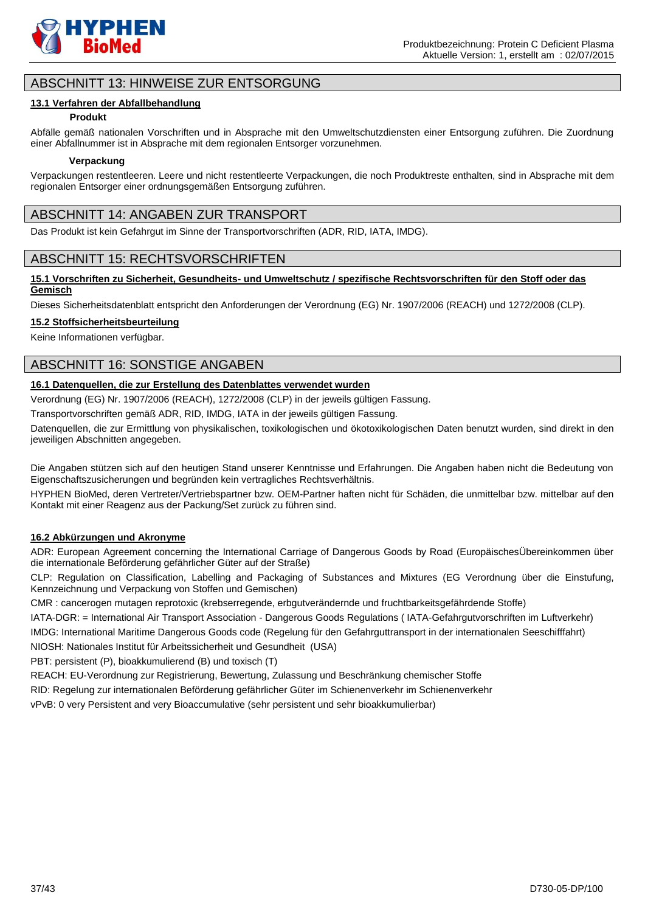

# ABSCHNITT 13: HINWEISE ZUR ENTSORGUNG

### **13.1 Verfahren der Abfallbehandlung**

### **Produkt**

Abfälle gemäß nationalen Vorschriften und in Absprache mit den Umweltschutzdiensten einer Entsorgung zuführen. Die Zuordnung einer Abfallnummer ist in Absprache mit dem regionalen Entsorger vorzunehmen.

#### **Verpackung**

Verpackungen restentleeren. Leere und nicht restentleerte Verpackungen, die noch Produktreste enthalten, sind in Absprache mit dem regionalen Entsorger einer ordnungsgemäßen Entsorgung zuführen.

# ABSCHNITT 14: ANGABEN ZUR TRANSPORT

Das Produkt ist kein Gefahrgut im Sinne der Transportvorschriften (ADR, RID, IATA, IMDG).

# ABSCHNITT 15: RECHTSVORSCHRIFTEN

### **15.1 Vorschriften zu Sicherheit, Gesundheits- und Umweltschutz / spezifische Rechtsvorschriften für den Stoff oder das Gemisch**

Dieses Sicherheitsdatenblatt entspricht den Anforderungen der Verordnung (EG) Nr. 1907/2006 (REACH) und 1272/2008 (CLP).

### **15.2 Stoffsicherheitsbeurteilung**

Keine Informationen verfügbar.

# ABSCHNITT 16: SONSTIGE ANGABEN

# **16.1 Datenquellen, die zur Erstellung des Datenblattes verwendet wurden**

Verordnung (EG) Nr. 1907/2006 (REACH), 1272/2008 (CLP) in der jeweils gültigen Fassung.

Transportvorschriften gemäß ADR, RID, IMDG, IATA in der jeweils gültigen Fassung.

Datenquellen, die zur Ermittlung von physikalischen, toxikologischen und ökotoxikologischen Daten benutzt wurden, sind direkt in den jeweiligen Abschnitten angegeben.

Die Angaben stützen sich auf den heutigen Stand unserer Kenntnisse und Erfahrungen. Die Angaben haben nicht die Bedeutung von Eigenschaftszusicherungen und begründen kein vertragliches Rechtsverhältnis.

HYPHEN BioMed, deren Vertreter/Vertriebspartner bzw. OEM-Partner haften nicht für Schäden, die unmittelbar bzw. mittelbar auf den Kontakt mit einer Reagenz aus der Packung/Set zurück zu führen sind.

### **16.2 Abkürzungen und Akronyme**

ADR: European Agreement concerning the International Carriage of Dangerous Goods by Road (EuropäischesÜbereinkommen über die internationale Beförderung gefährlicher Güter auf der Straße)

CLP: Regulation on Classification, Labelling and Packaging of Substances and Mixtures (EG Verordnung über die Einstufung, Kennzeichnung und Verpackung von Stoffen und Gemischen)

CMR : cancerogen mutagen reprotoxic (krebserregende, erbgutverändernde und fruchtbarkeitsgefährdende Stoffe)

IATA-DGR: = International Air Transport Association - Dangerous Goods Regulations ( IATA-Gefahrgutvorschriften im Luftverkehr)

IMDG: International Maritime Dangerous Goods code (Regelung für den Gefahrguttransport in der internationalen Seeschifffahrt)

NIOSH: Nationales Institut für Arbeitssicherheit und Gesundheit (USA)

PBT: persistent (P), bioakkumulierend (B) und toxisch (T)

REACH: EU-Verordnung zur Registrierung, Bewertung, Zulassung und Beschränkung chemischer Stoffe

RID: Regelung zur internationalen Beförderung gefährlicher Güter im Schienenverkehr im Schienenverkehr

vPvB: 0 very Persistent and very Bioaccumulative (sehr persistent und sehr bioakkumulierbar)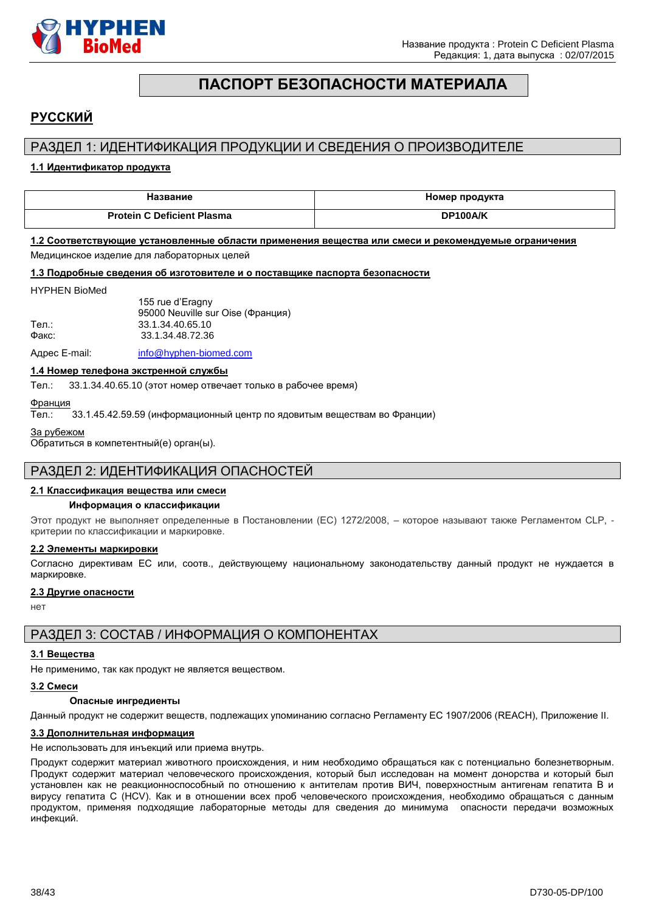

# **ПАСПОРТ БЕЗОПАСНОСТИ МАТЕРИАЛА**

# <span id="page-37-0"></span>**РУССКИЙ**

# РАЗДЕЛ 1: ИДЕНТИФИКАЦИЯ ПРОДУКЦИИ И СВЕДЕНИЯ О ПРОИЗВОДИТЕЛЕ

### **1.1 Идентификатор продукта**

| Название                          | Номер продукта |
|-----------------------------------|----------------|
| <b>Protein C Deficient Plasma</b> | DP100A/K       |

#### **1.2 Соответствующие установленные области применения вещества или смеси и рекомендуемые ограничения**

Медицинское изделие для лабораторных целей

#### **1.3 Подробные сведения об изготовителе и о поставщике паспорта безопасности**

#### HYPHEN BioMed

|       | 155 rue d'Eragny                  |  |
|-------|-----------------------------------|--|
|       | 95000 Neuville sur Oise (Франция) |  |
| Тел.: | 33.1.34.40.65.10                  |  |
| Факс: | 33.1.34.48.72.36                  |  |
|       |                                   |  |

Адрес E-mail: [info@hyphen-biomed.com](mailto:info@hyphen-biomed.com)

### **1.4 Номер телефона экстренной службы**

Тел.: 33.1.34.40.65.10 (этот номер отвечает только в рабочее время)

Франция

Тел.: 33.1.45.42.59.59 (информационный центр по ядовитым веществам во Франции)

За рубежом

Обратиться в компетентный(е) орган(ы).

# РАЗДЕЛ 2: ИДЕНТИФИКАЦИЯ ОПАСНОСТЕЙ

#### **2.1 Классификация вещества или смеси**

#### **Информация о классификации**

Этот продукт не выполняет определенные в Постановлении (EС) 1272/2008, – которое называют также Регламентом CLP, критерии по классификации и маркировке.

#### **2.2 Элементы маркировки**

Согласно директивам ЕС или, соотв., действующему национальному законодательству данный продукт не нуждается в маркировке.

#### **2.3 Другие опасности**

нет

# РАЗДЕЛ 3: СОСТАВ / ИНФОРМАЦИЯ О КОМПОНЕНТАХ

#### **3.1 Вещества**

Не применимо, так как продукт не является веществом.

#### **3.2 Смеси**

#### **Опасные ингредиенты**

Данный продукт не содержит веществ, подлежащих упоминанию согласно Регламенту ЕС 1907/2006 (REACH), Приложение II.

#### **3.3 Дополнительная информация**

Не использовать для инъекций или приема внутрь.

Продукт содержит материал животного происхождения, и ним необходимо обращаться как с потенциально болезнетворным. Продукт содержит материал человеческого происхождения, который был исследован на момент донорства и который был установлен как не реакционноспособный по отношению к антителам против ВИЧ, поверхностным антигенам гепатита B и вирусу гепатита C (HCV). Как и в отношении всех проб человеческого происхождения, необходимо обращаться с данным продуктом, применяя подходящие лабораторные методы для сведения до минимума опасности передачи возможных инфекций.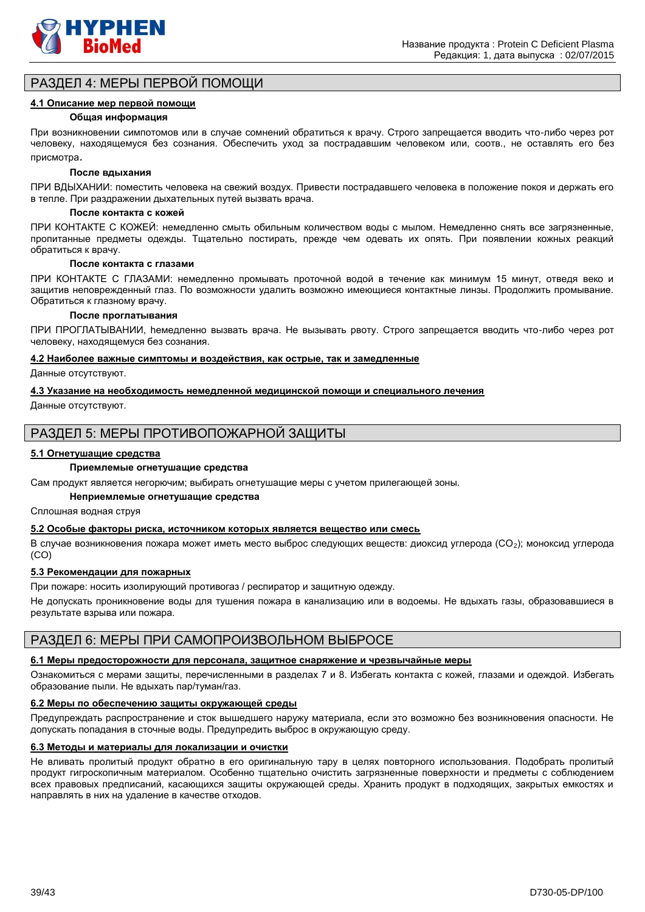

# РАЗДЕЛ 4: МЕРЫ ПЕРВОЙ ПОМОЩИ

#### **4.1 Описание мер первой помощи**

#### **Общая информация**

При возникновении cимпотомов или в случае сомнений обратиться к врачу. Строго запрещается вводить что-либо через рот человеку, находящемуся без сознания. Обеспечить уход за пострадавшим человеком или, соотв., не оставлять его без присмотра.

#### **После вдыхания**

ПРИ ВДЫХАНИИ: поместить человека на свежий воздух. Привести пострадавшего человека в положение покоя и держать его в тепле. При раздражении дыхательных путей вызвать врача.

#### **После контакта с кожей**

ПРИ КОНТАКТЕ С КОЖЕЙ: немедленно смыть обильным количеством воды с мылом. Немедленно снять все загрязненные, пропитанные предметы одежды. Тщательно постирать, прежде чем одевать их опять. При появлении кожных реакций обратиться к врачу.

#### **После контакта с глазами**

ПРИ КОНТАКТЕ С ГЛАЗАМИ: немедленно промывать проточной водой в течение как минимум 15 минут, отведя веко и защитив неповрежденный глаз. По возможности удалить возможно имеющиеся контактные линзы. Продолжить промывание. Обратиться к глазному врачу.

#### **После проглатывания**

ПРИ ПРОГЛАТЫВАНИИ, hемедленно вызвать врача. Не вызывать рвоту. Строго запрещается вводить что-либо через рот человеку, находящемуся без сознания.

#### **4.2 Наиболее важные симптомы и воздействия, как острые, так и замедленные**

Данные отсутствуют.

#### **4.3 Указание на необходимость немедленной медицинской помощи и специального лечения**

Данные отсутствуют.

# РАЗДЕЛ 5: МЕРЫ ПРОТИВОПОЖАРНОЙ ЗАЩИТЫ

#### **5.1 Огнетушащие средства**

### **Приемлемые огнетушащие средства**

Сам продукт является негорючим; выбирать огнетушащие меры с учетом прилегающей зоны.

#### **Неприемлемые огнетушащие средства**

Сплошная водная струя

#### **5.2 Особые факторы риска, источником которых является вещество или смесь**

В случае возникновения пожара может иметь место выброс следующих веществ: диоксид углерода (CO2); моноксид углерода (CO)

#### **5.3 Рекомендации для пожарных**

При пожаре: носить изолирующий противогаз / респиратор и защитную одежду.

Не допускать проникновение воды для тушения пожара в канализацию или в водоемы. Не вдыхать газы, образовавшиеся в результате взрыва или пожара.

# РАЗДЕЛ 6: МЕРЫ ПРИ САМОПРОИЗВОЛЬНОМ ВЫБРОСЕ

#### **6.1 Меры предосторожности для персонала, защитное снаряжение и чрезвычайные меры**

Ознакомиться с мерами защиты, перечисленными в разделах 7 и 8. Избегать контакта с кожей, глазами и одеждой. Избегать образование пыли. Не вдыхать пар/туман/газ.

#### **6.2 Меры по обеспечению защиты окружающей среды**

Предупреждать распространение и сток вышедшего наружу материала, если это возможно без возникновения опасности. Не допускать попадания в сточные воды. Предупредить выброс в окружающую среду.

#### **6.3 Методы и материалы для локализации и очистки**

Не вливать пролитый продукт обратно в его оригинальную тару в целях повторного использования. Подобрать пролитый продукт гигроскопичным материалом. Особенно тщательно очистить загрязненные поверхности и предметы с соблюдением всех правовых предписаний, касающихся защиты окружающей среды. Хранить продукт в подходящих, закрытых емкостях и направлять в них на удаление в качестве отходов.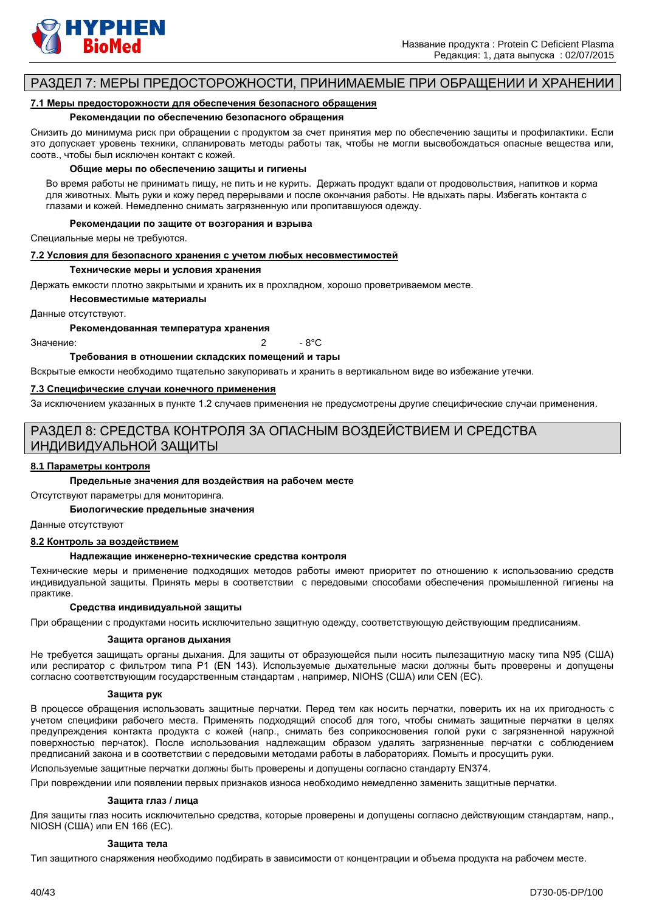

# РАЗДЕЛ 7: МЕРЫ ПРЕДОСТОРОЖНОСТИ, ПРИНИМАЕМЫЕ ПРИ ОБРАЩЕНИИ И ХРАНЕНИИ

#### **7.1 Меры предосторожности для обеспечения безопасного обращения**

#### **Рекомендации по обеспечению безопасного обращения**

Снизить до минимума риск при обращении с продуктом за счет принятия мер по обеспечению защиты и профилактики. Если это допускает уровень техники, спланировать методы работы так, чтобы не могли высвобождаться опасные вещества или, соотв., чтобы был исключен контакт с кожей.

#### **Общие меры по обеспечению защиты и гигиены**

Во время работы не принимать пищу, не пить и не курить. Держать продукт вдали от продовольствия, напитков и корма для животных. Мыть руки и кожу перед перерывами и после окончания работы. Не вдыхать пары. Избегать контакта с глазами и кожей. Немедленно снимать загрязненную или пропитавшуюся одежду.

#### **Рекомендации по защите от возгорания и взрыва**

Специальные меры не требуются.

#### **7.2 Условия для безопасного хранения с учетом любых несовместимостей**

#### **Технические меры и условия хранения**

Держать емкости плотно закрытыми и хранить их в прохладном, хорошо проветриваемом месте.

**Несовместимые материалы**

Данные отсутствуют.

#### **Рекомендованная температура хранения**

 $3$ начение:  $\overline{2}$  - 8°C

**Требования в отношении складских помещений и тары**

Вскрытые емкости необходимо тщательно закупоривать и хранить в вертикальном виде во избежание утечки.

#### **7.3 Специфические случаи конечного применения**

За исключением указанных в пункте 1.2 случаев применения не предусмотрены другие специфические случаи применения.

# РАЗДЕЛ 8: СРЕДСТВА КОНТРОЛЯ ЗА ОПАСНЫМ ВОЗДЕЙСТВИЕМ И СРЕДСТВА ИНДИВИДУАЛЬНОЙ ЗАЩИТЫ

#### **8.1 Параметры контроля**

#### **Предельные значения для воздействия на рабочем месте**

Отсутствуют параметры для мониторинга.

**Биологические предельные значения**

#### Данные отсутствуют

#### **8.2 Контроль за воздействием**

#### **Надлежащие инженерно-технические средства контроля**

Технические меры и применение подходящих методов работы имеют приоритет по отношению к использованию средств индивидуальной защиты. Принять меры в соответствии с передовыми способами обеспечения промышленной гигиены на практике.

#### **Средства индивидуальной защиты**

При обращении с продуктами носить исключительно защитную одежду, соответствующую действующим предписаниям.

#### **Защита органов дыхания**

Не требуется защищать органы дыхания. Для защиты от образующейся пыли носить пылезащитную маску типа N95 (США) или респиратор с фильтром типа P1 (EN 143). Используемые дыхательные маски должны быть проверены и допущены согласно соответствующим государственным стандартам , например, NIOHS (США) или CEN (EС).

#### **Защита рук**

В процессе обращения использовать защитные перчатки. Перед тем как носить перчатки, поверить их на их пригодность с учетом специфики рабочего места. Применять подходящий способ для того, чтобы снимать защитные перчатки в целях предупреждения контакта продукта с кожей (напр., снимать без соприкосновения голой руки с загрязненной наружной поверхностью перчаток). После использования надлежащим образом удалять загрязненные перчатки с соблюдением предписаний закона и в соответствии с передовыми методами работы в лабораториях. Помыть и просущить руки.

Используемые защитные перчатки должны быть проверены и допущены согласно стандарту EN374.

При повреждении или появлении первых признаков износа необходимо немедленно заменить защитные перчатки.

#### **Защита глаз / лица**

Для защиты глаз носить исключительно средства, которые проверены и допущены согласно действующим стандартам, напр., NIOSH (США) или EN 166 (EС).

#### **Защита тела**

Тип защитного снаряжения необходимо подбирать в зависимости от концентрации и объема продукта на рабочем месте.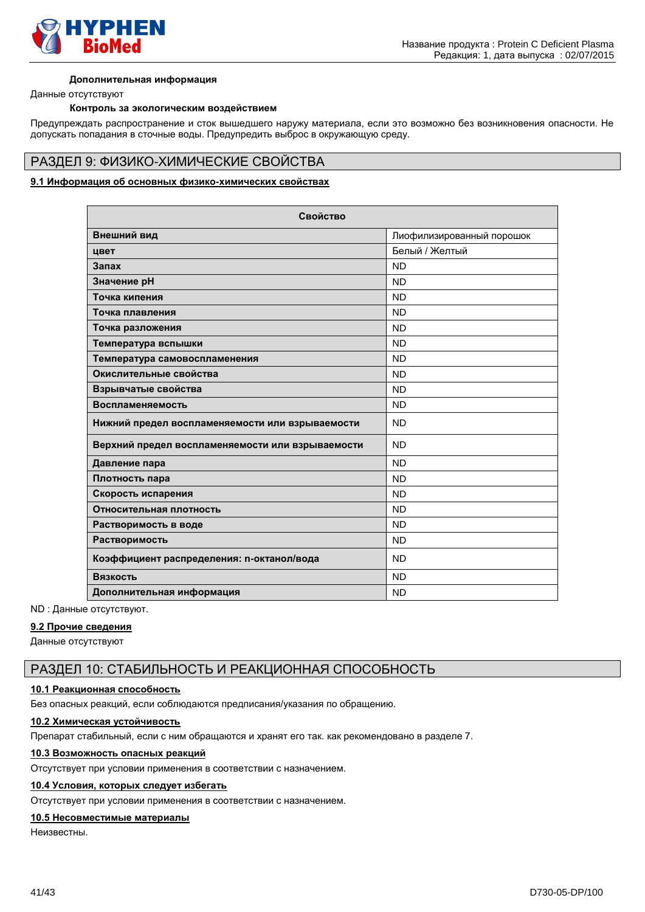

#### **Дополнительная информация**

Данные отсутствуют

#### **Контроль за экологическим воздействием**

Предупреждать распространение и сток вышедшего наружу материала, если это возможно без возникновения опасности. Не допускать попадания в сточные воды. Предупредить выброс в окружающую среду.

# РАЗДЕЛ 9: ФИЗИКО-ХИМИЧЕСКИЕ СВОЙСТВА

#### **9.1 Информация об основных физико-химических свойствах**

| Свойство                                         |                           |
|--------------------------------------------------|---------------------------|
| Внешний вид                                      | Лиофилизированный порошок |
| цвет                                             | Белый / Желтый            |
| Запах                                            | <b>ND</b>                 |
| Значение рН                                      | <b>ND</b>                 |
| Точка кипения                                    | <b>ND</b>                 |
| Точка плавления                                  | <b>ND</b>                 |
| Точка разложения                                 | <b>ND</b>                 |
| Температура вспышки                              | <b>ND</b>                 |
| Температура самовоспламенения                    | <b>ND</b>                 |
| Окислительные свойства                           | <b>ND</b>                 |
| Взрывчатые свойства                              | <b>ND</b>                 |
| Воспламеняемость                                 | <b>ND</b>                 |
| Нижний предел воспламеняемости или взрываемости  | <b>ND</b>                 |
| Верхний предел воспламеняемости или взрываемости | <b>ND</b>                 |
| Давление пара                                    | <b>ND</b>                 |
| Плотность пара                                   | <b>ND</b>                 |
| Скорость испарения                               | <b>ND</b>                 |
| Относительная плотность                          | <b>ND</b>                 |
| Растворимость в воде                             | <b>ND</b>                 |
| Растворимость                                    | <b>ND</b>                 |
| Коэффициент распределения: n-октанол/вода        | <b>ND</b>                 |
| Вязкость                                         | <b>ND</b>                 |
| Дополнительная информация                        | <b>ND</b>                 |

ND : Данные отсутствуют.

#### **9.2 Прочие сведения**

Данные отсутствуют

# РАЗДЕЛ 10: СТАБИЛЬНОСТЬ И РЕАКЦИОННАЯ СПОСОБНОСТЬ

#### **10.1 Реакционная способность**

Без опасных реакций, если соблюдаются предписания/указания по обращению.

#### **10.2 Химическая устойчивость**

Препарат стабильный, если с ним обращаются и хранят его так. как рекомендовано в разделе 7.

# **10.3 Возможность опасных реакций**

Отсутствует при условии применения в соответствии с назначением.

#### **10.4 Условия, которых следует избегать**

Отсутствует при условии применения в соответствии с назначением.

#### **10.5 Несовместимые материалы**

Неизвестны.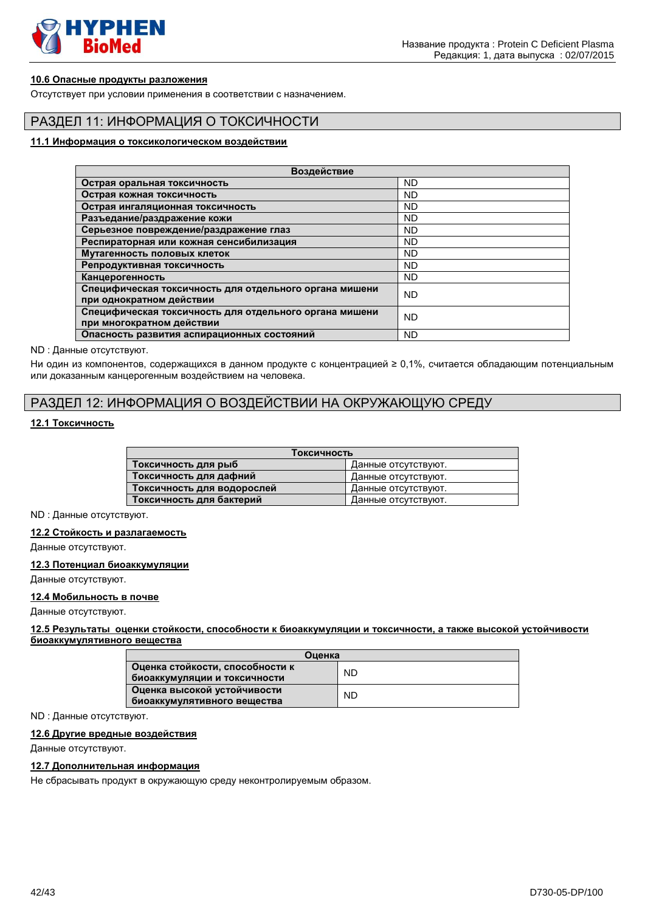

# **10.6 Опасные продукты разложения**

Отсутствует при условии применения в соответствии с назначением.

# РАЗДЕЛ 11: ИНФОРМАЦИЯ О ТОКСИЧНОСТИ

#### **11.1 Информация о токсикологическом воздействии**

| Воздействие                                            |           |  |
|--------------------------------------------------------|-----------|--|
| Острая оральная токсичность                            | <b>ND</b> |  |
| Острая кожная токсичность                              | <b>ND</b> |  |
| Острая ингаляционная токсичность                       | <b>ND</b> |  |
| Разъедание/раздражение кожи                            | <b>ND</b> |  |
| Серьезное повреждение/раздражение глаз                 | <b>ND</b> |  |
| Респираторная или кожная сенсибилизация                | <b>ND</b> |  |
| Мутагенность половых клеток                            | <b>ND</b> |  |
| Репродуктивная токсичность                             | <b>ND</b> |  |
| Канцерогенность                                        | <b>ND</b> |  |
| Специфическая токсичность для отдельного органа мишени | <b>ND</b> |  |
| при однократном действии                               |           |  |
| Специфическая токсичность для отдельного органа мишени | <b>ND</b> |  |
| при многократном действии                              |           |  |
| Опасность развития аспирационных состояний             | <b>ND</b> |  |

#### ND : Данные отсутствуют.

Ни один из компонентов, содержащихся в данном продукте с концентрацией ≥ 0,1%, считается обладающим потенциальным или доказанным канцерогенным воздействием на человека.

# РАЗДЕЛ 12: ИНФОРМАЦИЯ О ВОЗДЕЙСТВИИ НА ОКРУЖАЮЩУЮ СРЕДУ

# **12.1 Токсичность**

| Токсичность                |                     |  |
|----------------------------|---------------------|--|
| Токсичность для рыб        | Данные отсутствуют. |  |
| Токсичность для дафний     | Данные отсутствуют. |  |
| Токсичность для водорослей | Данные отсутствуют. |  |
| Токсичность для бактерий   | Данные отсутствуют. |  |

#### ND : Данные отсутствуют.

### **12.2 Стойкость и разлагаемость**

Данные отсутствуют.

# **12.3 Потенциал биоаккумуляции**

Данные отсутствуют.

#### **12.4 Мобильность в почве**

Данные отсутствуют.

#### **12.5 Результаты оценки стойкости, способности к биоаккумуляции и токсичности, а также высокой устойчивости биоаккумулятивного вещества**

| Оценка                                                          |           |
|-----------------------------------------------------------------|-----------|
| Оценка стойкости, способности к<br>биоаккумуляции и токсичности | <b>ND</b> |
| Оценка высокой устойчивости<br>биоаккумулятивного вещества      | <b>ND</b> |

ND : Данные отсутствуют.

#### **12.6 Другие вредные воздействия**

Данные отсутствуют.

#### **12.7 Дополнительная информация**

Не сбрасывать продукт в окружающую среду неконтролируемым образом.